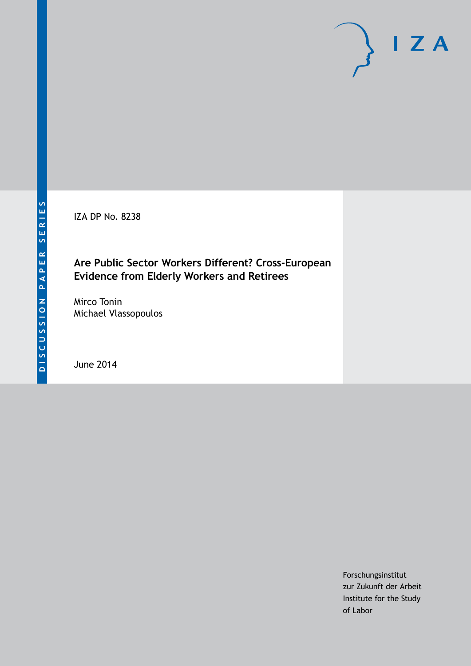IZA DP No. 8238

# **Are Public Sector Workers Different? Cross-European Evidence from Elderly Workers and Retirees**

Mirco Tonin Michael Vlassopoulos

June 2014

Forschungsinstitut zur Zukunft der Arbeit Institute for the Study of Labor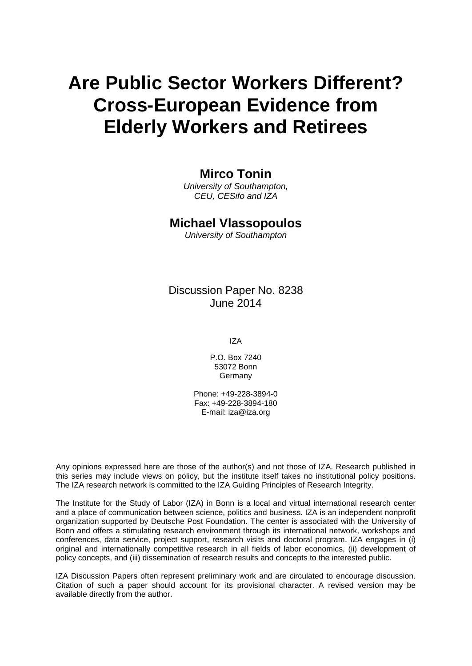# **Are Public Sector Workers Different? Cross-European Evidence from Elderly Workers and Retirees**

# **Mirco Tonin**

*University of Southampton, CEU, CESifo and IZA*

## **Michael Vlassopoulos**

*University of Southampton*

Discussion Paper No. 8238 June 2014

IZA

P.O. Box 7240 53072 Bonn **Germany** 

Phone: +49-228-3894-0 Fax: +49-228-3894-180 E-mail: [iza@iza.org](mailto:iza@iza.org)

Any opinions expressed here are those of the author(s) and not those of IZA. Research published in this series may include views on policy, but the institute itself takes no institutional policy positions. The IZA research network is committed to the IZA Guiding Principles of Research Integrity.

The Institute for the Study of Labor (IZA) in Bonn is a local and virtual international research center and a place of communication between science, politics and business. IZA is an independent nonprofit organization supported by Deutsche Post Foundation. The center is associated with the University of Bonn and offers a stimulating research environment through its international network, workshops and conferences, data service, project support, research visits and doctoral program. IZA engages in (i) original and internationally competitive research in all fields of labor economics, (ii) development of policy concepts, and (iii) dissemination of research results and concepts to the interested public.

IZA Discussion Papers often represent preliminary work and are circulated to encourage discussion. Citation of such a paper should account for its provisional character. A revised version may be available directly from the author.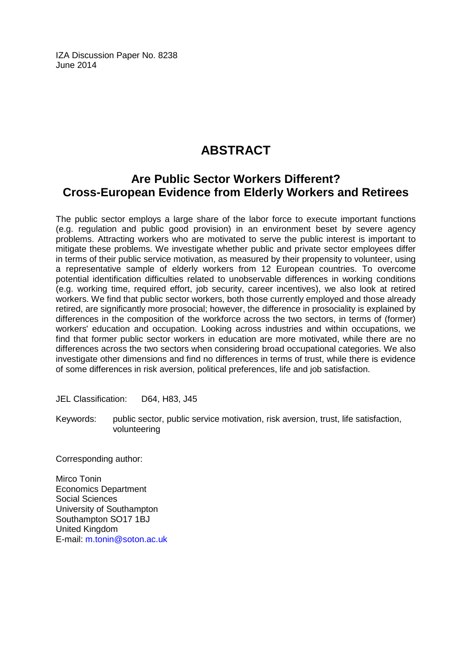IZA Discussion Paper No. 8238 June 2014

# **ABSTRACT**

# **Are Public Sector Workers Different? Cross-European Evidence from Elderly Workers and Retirees**

The public sector employs a large share of the labor force to execute important functions (e.g. regulation and public good provision) in an environment beset by severe agency problems. Attracting workers who are motivated to serve the public interest is important to mitigate these problems. We investigate whether public and private sector employees differ in terms of their public service motivation, as measured by their propensity to volunteer, using a representative sample of elderly workers from 12 European countries. To overcome potential identification difficulties related to unobservable differences in working conditions (e.g. working time, required effort, job security, career incentives), we also look at retired workers. We find that public sector workers, both those currently employed and those already retired, are significantly more prosocial; however, the difference in prosociality is explained by differences in the composition of the workforce across the two sectors, in terms of (former) workers' education and occupation. Looking across industries and within occupations, we find that former public sector workers in education are more motivated, while there are no differences across the two sectors when considering broad occupational categories. We also investigate other dimensions and find no differences in terms of trust, while there is evidence of some differences in risk aversion, political preferences, life and job satisfaction.

JEL Classification: D64, H83, J45

Keywords: public sector, public service motivation, risk aversion, trust, life satisfaction, volunteering

Corresponding author:

Mirco Tonin Economics Department Social Sciences University of Southampton Southampton SO17 1BJ United Kingdom E-mail: [m.tonin@soton.ac.uk](mailto:m.tonin@soton.ac.uk)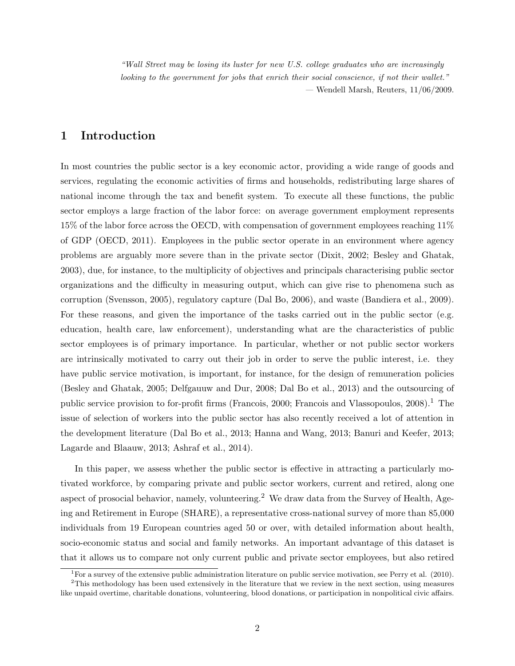"Wall Street may be losing its luster for new U.S. college graduates who are increasingly looking to the government for jobs that enrich their social conscience, if not their wallet." — Wendell Marsh, Reuters, 11/06/2009.

## 1 Introduction

In most countries the public sector is a key economic actor, providing a wide range of goods and services, regulating the economic activities of firms and households, redistributing large shares of national income through the tax and benefit system. To execute all these functions, the public sector employs a large fraction of the labor force: on average government employment represents 15% of the labor force across the OECD, with compensation of government employees reaching 11% of GDP (OECD, 2011). Employees in the public sector operate in an environment where agency problems are arguably more severe than in the private sector (Dixit, 2002; Besley and Ghatak, 2003), due, for instance, to the multiplicity of objectives and principals characterising public sector organizations and the difficulty in measuring output, which can give rise to phenomena such as corruption (Svensson, 2005), regulatory capture (Dal Bo, 2006), and waste (Bandiera et al., 2009). For these reasons, and given the importance of the tasks carried out in the public sector (e.g. education, health care, law enforcement), understanding what are the characteristics of public sector employees is of primary importance. In particular, whether or not public sector workers are intrinsically motivated to carry out their job in order to serve the public interest, i.e. they have public service motivation, is important, for instance, for the design of remuneration policies (Besley and Ghatak, 2005; Delfgauuw and Dur, 2008; Dal Bo et al., 2013) and the outsourcing of public service provision to for-profit firms (Francois, 2000; Francois and Vlassopoulos,  $2008$ ).<sup>1</sup> The issue of selection of workers into the public sector has also recently received a lot of attention in the development literature (Dal Bo et al., 2013; Hanna and Wang, 2013; Banuri and Keefer, 2013; Lagarde and Blaauw, 2013; Ashraf et al., 2014).

In this paper, we assess whether the public sector is effective in attracting a particularly motivated workforce, by comparing private and public sector workers, current and retired, along one aspect of prosocial behavior, namely, volunteering.<sup>2</sup> We draw data from the Survey of Health, Ageing and Retirement in Europe (SHARE), a representative cross-national survey of more than 85,000 individuals from 19 European countries aged 50 or over, with detailed information about health, socio-economic status and social and family networks. An important advantage of this dataset is that it allows us to compare not only current public and private sector employees, but also retired

<sup>&</sup>lt;sup>1</sup>For a survey of the extensive public administration literature on public service motivation, see Perry et al.  $(2010)$ .

<sup>&</sup>lt;sup>2</sup>This methodology has been used extensively in the literature that we review in the next section, using measures like unpaid overtime, charitable donations, volunteering, blood donations, or participation in nonpolitical civic affairs.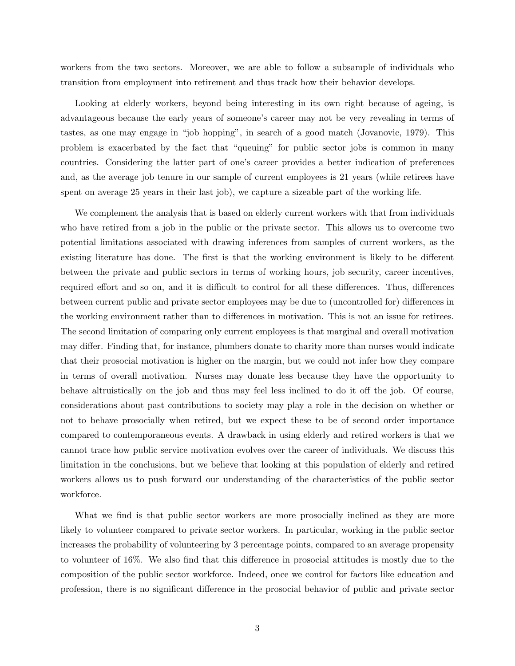workers from the two sectors. Moreover, we are able to follow a subsample of individuals who transition from employment into retirement and thus track how their behavior develops.

Looking at elderly workers, beyond being interesting in its own right because of ageing, is advantageous because the early years of someone's career may not be very revealing in terms of tastes, as one may engage in "job hopping", in search of a good match (Jovanovic, 1979). This problem is exacerbated by the fact that "queuing" for public sector jobs is common in many countries. Considering the latter part of one's career provides a better indication of preferences and, as the average job tenure in our sample of current employees is 21 years (while retirees have spent on average 25 years in their last job), we capture a sizeable part of the working life.

We complement the analysis that is based on elderly current workers with that from individuals who have retired from a job in the public or the private sector. This allows us to overcome two potential limitations associated with drawing inferences from samples of current workers, as the existing literature has done. The first is that the working environment is likely to be different between the private and public sectors in terms of working hours, job security, career incentives, required effort and so on, and it is difficult to control for all these differences. Thus, differences between current public and private sector employees may be due to (uncontrolled for) differences in the working environment rather than to differences in motivation. This is not an issue for retirees. The second limitation of comparing only current employees is that marginal and overall motivation may differ. Finding that, for instance, plumbers donate to charity more than nurses would indicate that their prosocial motivation is higher on the margin, but we could not infer how they compare in terms of overall motivation. Nurses may donate less because they have the opportunity to behave altruistically on the job and thus may feel less inclined to do it off the job. Of course, considerations about past contributions to society may play a role in the decision on whether or not to behave prosocially when retired, but we expect these to be of second order importance compared to contemporaneous events. A drawback in using elderly and retired workers is that we cannot trace how public service motivation evolves over the career of individuals. We discuss this limitation in the conclusions, but we believe that looking at this population of elderly and retired workers allows us to push forward our understanding of the characteristics of the public sector workforce.

What we find is that public sector workers are more prosocially inclined as they are more likely to volunteer compared to private sector workers. In particular, working in the public sector increases the probability of volunteering by 3 percentage points, compared to an average propensity to volunteer of 16%. We also find that this difference in prosocial attitudes is mostly due to the composition of the public sector workforce. Indeed, once we control for factors like education and profession, there is no significant difference in the prosocial behavior of public and private sector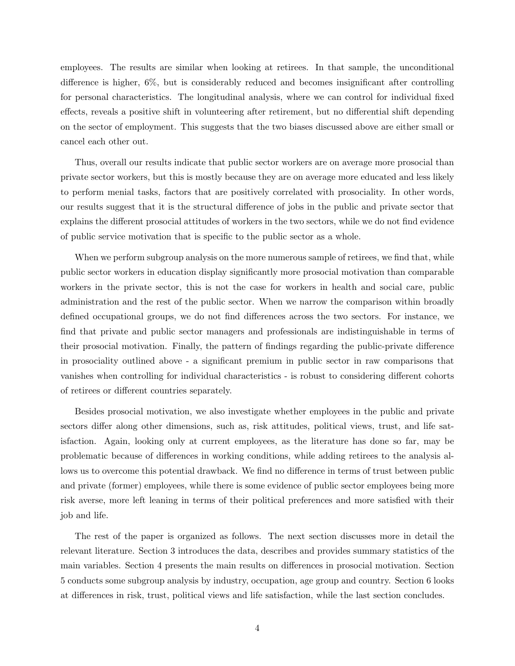employees. The results are similar when looking at retirees. In that sample, the unconditional difference is higher, 6%, but is considerably reduced and becomes insignificant after controlling for personal characteristics. The longitudinal analysis, where we can control for individual fixed effects, reveals a positive shift in volunteering after retirement, but no differential shift depending on the sector of employment. This suggests that the two biases discussed above are either small or cancel each other out.

Thus, overall our results indicate that public sector workers are on average more prosocial than private sector workers, but this is mostly because they are on average more educated and less likely to perform menial tasks, factors that are positively correlated with prosociality. In other words, our results suggest that it is the structural difference of jobs in the public and private sector that explains the different prosocial attitudes of workers in the two sectors, while we do not find evidence of public service motivation that is specific to the public sector as a whole.

When we perform subgroup analysis on the more numerous sample of retirees, we find that, while public sector workers in education display significantly more prosocial motivation than comparable workers in the private sector, this is not the case for workers in health and social care, public administration and the rest of the public sector. When we narrow the comparison within broadly defined occupational groups, we do not find differences across the two sectors. For instance, we find that private and public sector managers and professionals are indistinguishable in terms of their prosocial motivation. Finally, the pattern of findings regarding the public-private difference in prosociality outlined above - a significant premium in public sector in raw comparisons that vanishes when controlling for individual characteristics - is robust to considering different cohorts of retirees or different countries separately.

Besides prosocial motivation, we also investigate whether employees in the public and private sectors differ along other dimensions, such as, risk attitudes, political views, trust, and life satisfaction. Again, looking only at current employees, as the literature has done so far, may be problematic because of differences in working conditions, while adding retirees to the analysis allows us to overcome this potential drawback. We find no difference in terms of trust between public and private (former) employees, while there is some evidence of public sector employees being more risk averse, more left leaning in terms of their political preferences and more satisfied with their job and life.

The rest of the paper is organized as follows. The next section discusses more in detail the relevant literature. Section 3 introduces the data, describes and provides summary statistics of the main variables. Section 4 presents the main results on differences in prosocial motivation. Section 5 conducts some subgroup analysis by industry, occupation, age group and country. Section 6 looks at differences in risk, trust, political views and life satisfaction, while the last section concludes.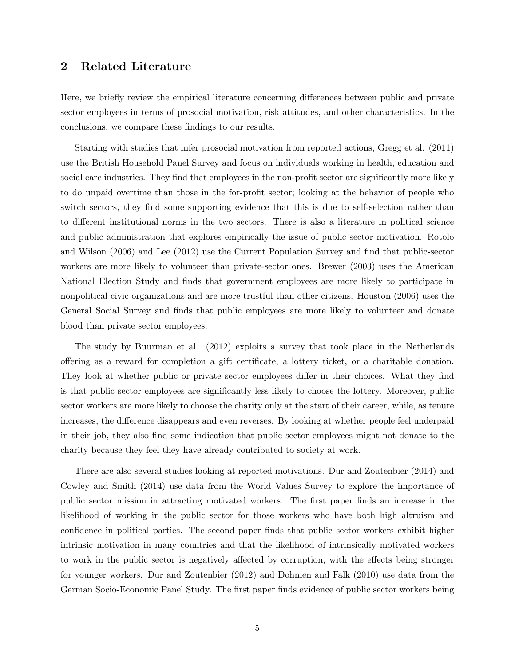## 2 Related Literature

Here, we briefly review the empirical literature concerning differences between public and private sector employees in terms of prosocial motivation, risk attitudes, and other characteristics. In the conclusions, we compare these findings to our results.

Starting with studies that infer prosocial motivation from reported actions, Gregg et al. (2011) use the British Household Panel Survey and focus on individuals working in health, education and social care industries. They find that employees in the non-profit sector are significantly more likely to do unpaid overtime than those in the for-profit sector; looking at the behavior of people who switch sectors, they find some supporting evidence that this is due to self-selection rather than to different institutional norms in the two sectors. There is also a literature in political science and public administration that explores empirically the issue of public sector motivation. Rotolo and Wilson (2006) and Lee (2012) use the Current Population Survey and find that public-sector workers are more likely to volunteer than private-sector ones. Brewer (2003) uses the American National Election Study and finds that government employees are more likely to participate in nonpolitical civic organizations and are more trustful than other citizens. Houston (2006) uses the General Social Survey and finds that public employees are more likely to volunteer and donate blood than private sector employees.

The study by Buurman et al. (2012) exploits a survey that took place in the Netherlands offering as a reward for completion a gift certificate, a lottery ticket, or a charitable donation. They look at whether public or private sector employees differ in their choices. What they find is that public sector employees are significantly less likely to choose the lottery. Moreover, public sector workers are more likely to choose the charity only at the start of their career, while, as tenure increases, the difference disappears and even reverses. By looking at whether people feel underpaid in their job, they also find some indication that public sector employees might not donate to the charity because they feel they have already contributed to society at work.

There are also several studies looking at reported motivations. Dur and Zoutenbier (2014) and Cowley and Smith (2014) use data from the World Values Survey to explore the importance of public sector mission in attracting motivated workers. The first paper finds an increase in the likelihood of working in the public sector for those workers who have both high altruism and confidence in political parties. The second paper finds that public sector workers exhibit higher intrinsic motivation in many countries and that the likelihood of intrinsically motivated workers to work in the public sector is negatively affected by corruption, with the effects being stronger for younger workers. Dur and Zoutenbier (2012) and Dohmen and Falk (2010) use data from the German Socio-Economic Panel Study. The first paper finds evidence of public sector workers being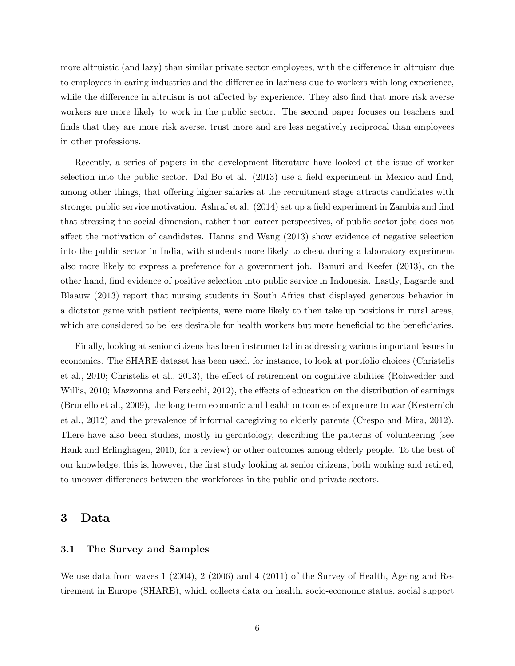more altruistic (and lazy) than similar private sector employees, with the difference in altruism due to employees in caring industries and the difference in laziness due to workers with long experience, while the difference in altruism is not affected by experience. They also find that more risk averse workers are more likely to work in the public sector. The second paper focuses on teachers and finds that they are more risk averse, trust more and are less negatively reciprocal than employees in other professions.

Recently, a series of papers in the development literature have looked at the issue of worker selection into the public sector. Dal Bo et al. (2013) use a field experiment in Mexico and find, among other things, that offering higher salaries at the recruitment stage attracts candidates with stronger public service motivation. Ashraf et al. (2014) set up a field experiment in Zambia and find that stressing the social dimension, rather than career perspectives, of public sector jobs does not affect the motivation of candidates. Hanna and Wang (2013) show evidence of negative selection into the public sector in India, with students more likely to cheat during a laboratory experiment also more likely to express a preference for a government job. Banuri and Keefer (2013), on the other hand, find evidence of positive selection into public service in Indonesia. Lastly, Lagarde and Blaauw (2013) report that nursing students in South Africa that displayed generous behavior in a dictator game with patient recipients, were more likely to then take up positions in rural areas, which are considered to be less desirable for health workers but more beneficial to the beneficiaries.

Finally, looking at senior citizens has been instrumental in addressing various important issues in economics. The SHARE dataset has been used, for instance, to look at portfolio choices (Christelis et al., 2010; Christelis et al., 2013), the effect of retirement on cognitive abilities (Rohwedder and Willis, 2010; Mazzonna and Peracchi, 2012), the effects of education on the distribution of earnings (Brunello et al., 2009), the long term economic and health outcomes of exposure to war (Kesternich et al., 2012) and the prevalence of informal caregiving to elderly parents (Crespo and Mira, 2012). There have also been studies, mostly in gerontology, describing the patterns of volunteering (see Hank and Erlinghagen, 2010, for a review) or other outcomes among elderly people. To the best of our knowledge, this is, however, the first study looking at senior citizens, both working and retired, to uncover differences between the workforces in the public and private sectors.

## 3 Data

#### 3.1 The Survey and Samples

We use data from waves 1 (2004), 2 (2006) and 4 (2011) of the Survey of Health, Ageing and Retirement in Europe (SHARE), which collects data on health, socio-economic status, social support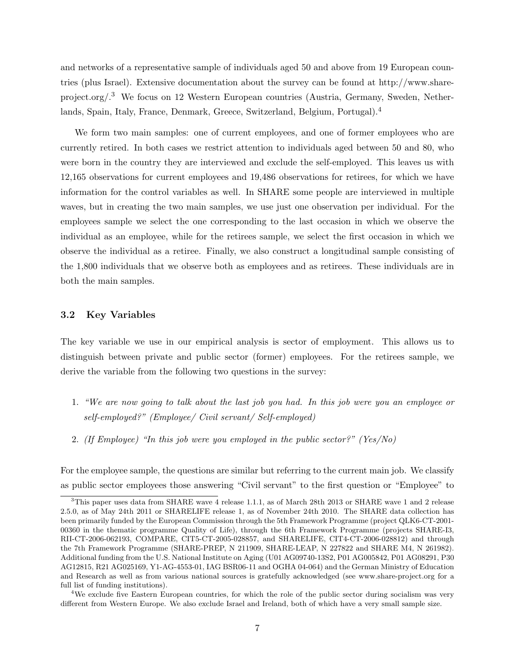and networks of a representative sample of individuals aged 50 and above from 19 European countries (plus Israel). Extensive documentation about the survey can be found at http://www.shareproject.org/.<sup>3</sup> We focus on 12 Western European countries (Austria, Germany, Sweden, Netherlands, Spain, Italy, France, Denmark, Greece, Switzerland, Belgium, Portugal).<sup>4</sup>

We form two main samples: one of current employees, and one of former employees who are currently retired. In both cases we restrict attention to individuals aged between 50 and 80, who were born in the country they are interviewed and exclude the self-employed. This leaves us with 12,165 observations for current employees and 19,486 observations for retirees, for which we have information for the control variables as well. In SHARE some people are interviewed in multiple waves, but in creating the two main samples, we use just one observation per individual. For the employees sample we select the one corresponding to the last occasion in which we observe the individual as an employee, while for the retirees sample, we select the first occasion in which we observe the individual as a retiree. Finally, we also construct a longitudinal sample consisting of the 1,800 individuals that we observe both as employees and as retirees. These individuals are in both the main samples.

#### 3.2 Key Variables

The key variable we use in our empirical analysis is sector of employment. This allows us to distinguish between private and public sector (former) employees. For the retirees sample, we derive the variable from the following two questions in the survey:

- 1. "We are now going to talk about the last job you had. In this job were you an employee or self-employed?" (Employee/ Civil servant/ Self-employed)
- 2. (If Employee) "In this job were you employed in the public sector?" (Yes/No)

For the employee sample, the questions are similar but referring to the current main job. We classify as public sector employees those answering "Civil servant" to the first question or "Employee" to

 $3$ This paper uses data from SHARE wave 4 release 1.1.1, as of March 28th 2013 or SHARE wave 1 and 2 release 2.5.0, as of May 24th 2011 or SHARELIFE release 1, as of November 24th 2010. The SHARE data collection has been primarily funded by the European Commission through the 5th Framework Programme (project QLK6-CT-2001- 00360 in the thematic programme Quality of Life), through the 6th Framework Programme (projects SHARE-I3, RII-CT-2006-062193, COMPARE, CIT5-CT-2005-028857, and SHARELIFE, CIT4-CT-2006-028812) and through the 7th Framework Programme (SHARE-PREP, N 211909, SHARE-LEAP, N 227822 and SHARE M4, N 261982). Additional funding from the U.S. National Institute on Aging (U01 AG09740-13S2, P01 AG005842, P01 AG08291, P30 AG12815, R21 AG025169, Y1-AG-4553-01, IAG BSR06-11 and OGHA 04-064) and the German Ministry of Education and Research as well as from various national sources is gratefully acknowledged (see www.share-project.org for a full list of funding institutions).

<sup>4</sup>We exclude five Eastern European countries, for which the role of the public sector during socialism was very different from Western Europe. We also exclude Israel and Ireland, both of which have a very small sample size.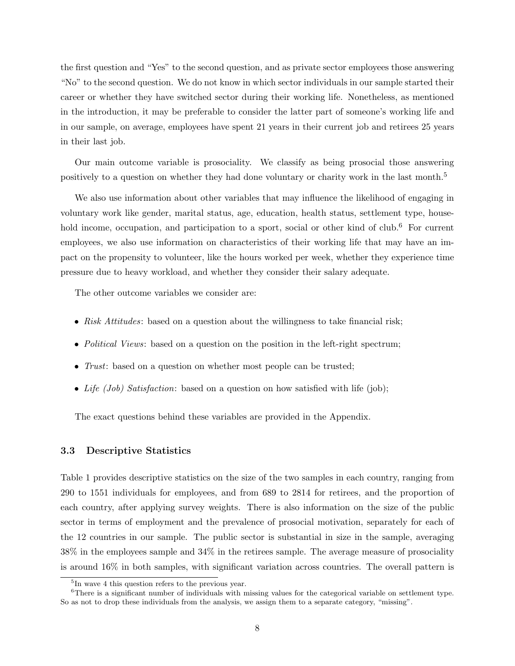the first question and "Yes" to the second question, and as private sector employees those answering "No" to the second question. We do not know in which sector individuals in our sample started their career or whether they have switched sector during their working life. Nonetheless, as mentioned in the introduction, it may be preferable to consider the latter part of someone's working life and in our sample, on average, employees have spent 21 years in their current job and retirees 25 years in their last job.

Our main outcome variable is prosociality. We classify as being prosocial those answering positively to a question on whether they had done voluntary or charity work in the last month.<sup>5</sup>

We also use information about other variables that may influence the likelihood of engaging in voluntary work like gender, marital status, age, education, health status, settlement type, household income, occupation, and participation to a sport, social or other kind of club.<sup>6</sup> For current employees, we also use information on characteristics of their working life that may have an impact on the propensity to volunteer, like the hours worked per week, whether they experience time pressure due to heavy workload, and whether they consider their salary adequate.

The other outcome variables we consider are:

- Risk Attitudes: based on a question about the willingness to take financial risk;
- Political Views: based on a question on the position in the left-right spectrum;
- *Trust*: based on a question on whether most people can be trusted;
- Life (Job) Satisfaction: based on a question on how satisfied with life (job);

The exact questions behind these variables are provided in the Appendix.

#### 3.3 Descriptive Statistics

Table 1 provides descriptive statistics on the size of the two samples in each country, ranging from 290 to 1551 individuals for employees, and from 689 to 2814 for retirees, and the proportion of each country, after applying survey weights. There is also information on the size of the public sector in terms of employment and the prevalence of prosocial motivation, separately for each of the 12 countries in our sample. The public sector is substantial in size in the sample, averaging 38% in the employees sample and 34% in the retirees sample. The average measure of prosociality is around 16% in both samples, with significant variation across countries. The overall pattern is

<sup>&</sup>lt;sup>5</sup>In wave 4 this question refers to the previous year.

<sup>&</sup>lt;sup>6</sup>There is a significant number of individuals with missing values for the categorical variable on settlement type. So as not to drop these individuals from the analysis, we assign them to a separate category, "missing".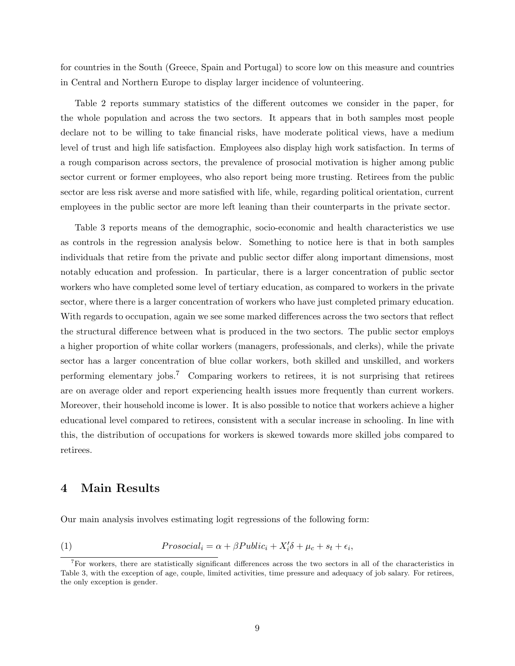for countries in the South (Greece, Spain and Portugal) to score low on this measure and countries in Central and Northern Europe to display larger incidence of volunteering.

Table 2 reports summary statistics of the different outcomes we consider in the paper, for the whole population and across the two sectors. It appears that in both samples most people declare not to be willing to take financial risks, have moderate political views, have a medium level of trust and high life satisfaction. Employees also display high work satisfaction. In terms of a rough comparison across sectors, the prevalence of prosocial motivation is higher among public sector current or former employees, who also report being more trusting. Retirees from the public sector are less risk averse and more satisfied with life, while, regarding political orientation, current employees in the public sector are more left leaning than their counterparts in the private sector.

Table 3 reports means of the demographic, socio-economic and health characteristics we use as controls in the regression analysis below. Something to notice here is that in both samples individuals that retire from the private and public sector differ along important dimensions, most notably education and profession. In particular, there is a larger concentration of public sector workers who have completed some level of tertiary education, as compared to workers in the private sector, where there is a larger concentration of workers who have just completed primary education. With regards to occupation, again we see some marked differences across the two sectors that reflect the structural difference between what is produced in the two sectors. The public sector employs a higher proportion of white collar workers (managers, professionals, and clerks), while the private sector has a larger concentration of blue collar workers, both skilled and unskilled, and workers performing elementary jobs.<sup>7</sup> Comparing workers to retirees, it is not surprising that retirees are on average older and report experiencing health issues more frequently than current workers. Moreover, their household income is lower. It is also possible to notice that workers achieve a higher educational level compared to retirees, consistent with a secular increase in schooling. In line with this, the distribution of occupations for workers is skewed towards more skilled jobs compared to retirees.

## 4 Main Results

Our main analysis involves estimating logit regressions of the following form:

(1) 
$$
Prosocial_i = \alpha + \beta Public_i + X_i'\delta + \mu_c + s_t + \epsilon_i
$$

,

<sup>7</sup>For workers, there are statistically significant differences across the two sectors in all of the characteristics in Table 3, with the exception of age, couple, limited activities, time pressure and adequacy of job salary. For retirees, the only exception is gender.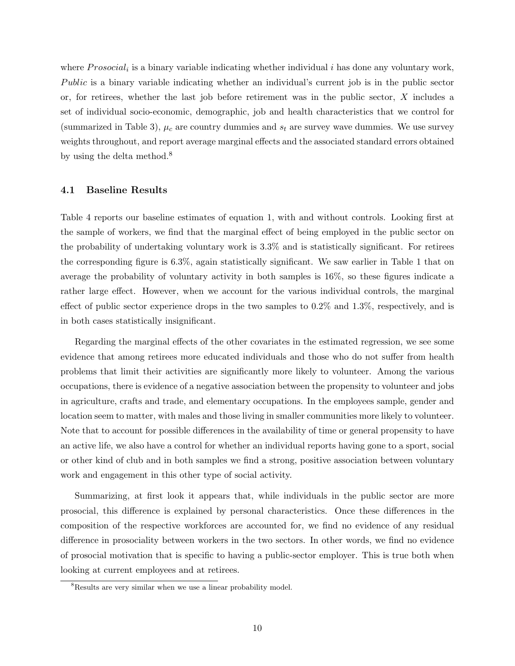where  $Prosocial_i$  is a binary variable indicating whether individual i has done any voluntary work, Public is a binary variable indicating whether an individual's current job is in the public sector or, for retirees, whether the last job before retirement was in the public sector, X includes a set of individual socio-economic, demographic, job and health characteristics that we control for (summarized in Table 3),  $\mu_c$  are country dummies and  $s_t$  are survey wave dummies. We use survey weights throughout, and report average marginal effects and the associated standard errors obtained by using the delta method.<sup>8</sup>

#### 4.1 Baseline Results

Table 4 reports our baseline estimates of equation 1, with and without controls. Looking first at the sample of workers, we find that the marginal effect of being employed in the public sector on the probability of undertaking voluntary work is 3.3% and is statistically significant. For retirees the corresponding figure is 6.3%, again statistically significant. We saw earlier in Table 1 that on average the probability of voluntary activity in both samples is 16%, so these figures indicate a rather large effect. However, when we account for the various individual controls, the marginal effect of public sector experience drops in the two samples to 0.2% and 1.3%, respectively, and is in both cases statistically insignificant.

Regarding the marginal effects of the other covariates in the estimated regression, we see some evidence that among retirees more educated individuals and those who do not suffer from health problems that limit their activities are significantly more likely to volunteer. Among the various occupations, there is evidence of a negative association between the propensity to volunteer and jobs in agriculture, crafts and trade, and elementary occupations. In the employees sample, gender and location seem to matter, with males and those living in smaller communities more likely to volunteer. Note that to account for possible differences in the availability of time or general propensity to have an active life, we also have a control for whether an individual reports having gone to a sport, social or other kind of club and in both samples we find a strong, positive association between voluntary work and engagement in this other type of social activity.

Summarizing, at first look it appears that, while individuals in the public sector are more prosocial, this difference is explained by personal characteristics. Once these differences in the composition of the respective workforces are accounted for, we find no evidence of any residual difference in prosociality between workers in the two sectors. In other words, we find no evidence of prosocial motivation that is specific to having a public-sector employer. This is true both when looking at current employees and at retirees.

<sup>8</sup>Results are very similar when we use a linear probability model.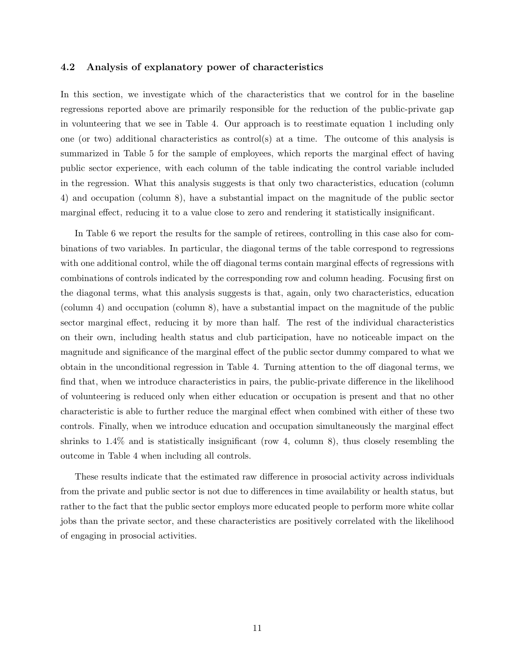#### 4.2 Analysis of explanatory power of characteristics

In this section, we investigate which of the characteristics that we control for in the baseline regressions reported above are primarily responsible for the reduction of the public-private gap in volunteering that we see in Table 4. Our approach is to reestimate equation 1 including only one (or two) additional characteristics as control(s) at a time. The outcome of this analysis is summarized in Table 5 for the sample of employees, which reports the marginal effect of having public sector experience, with each column of the table indicating the control variable included in the regression. What this analysis suggests is that only two characteristics, education (column 4) and occupation (column 8), have a substantial impact on the magnitude of the public sector marginal effect, reducing it to a value close to zero and rendering it statistically insignificant.

In Table 6 we report the results for the sample of retirees, controlling in this case also for combinations of two variables. In particular, the diagonal terms of the table correspond to regressions with one additional control, while the off diagonal terms contain marginal effects of regressions with combinations of controls indicated by the corresponding row and column heading. Focusing first on the diagonal terms, what this analysis suggests is that, again, only two characteristics, education (column 4) and occupation (column 8), have a substantial impact on the magnitude of the public sector marginal effect, reducing it by more than half. The rest of the individual characteristics on their own, including health status and club participation, have no noticeable impact on the magnitude and significance of the marginal effect of the public sector dummy compared to what we obtain in the unconditional regression in Table 4. Turning attention to the off diagonal terms, we find that, when we introduce characteristics in pairs, the public-private difference in the likelihood of volunteering is reduced only when either education or occupation is present and that no other characteristic is able to further reduce the marginal effect when combined with either of these two controls. Finally, when we introduce education and occupation simultaneously the marginal effect shrinks to 1.4% and is statistically insignificant (row 4, column 8), thus closely resembling the outcome in Table 4 when including all controls.

These results indicate that the estimated raw difference in prosocial activity across individuals from the private and public sector is not due to differences in time availability or health status, but rather to the fact that the public sector employs more educated people to perform more white collar jobs than the private sector, and these characteristics are positively correlated with the likelihood of engaging in prosocial activities.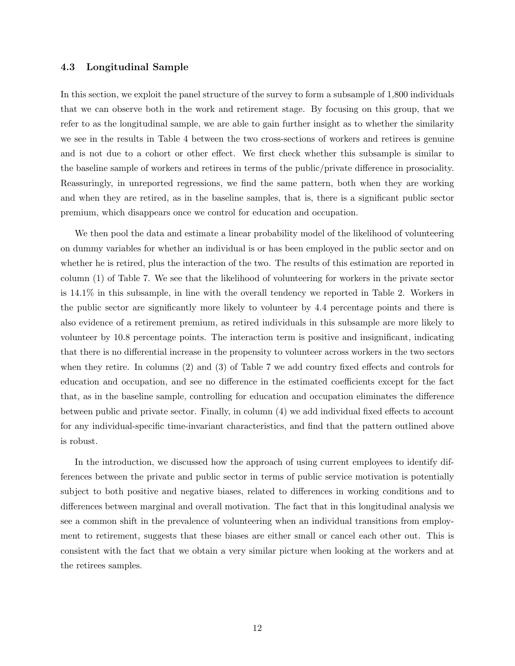#### 4.3 Longitudinal Sample

In this section, we exploit the panel structure of the survey to form a subsample of 1,800 individuals that we can observe both in the work and retirement stage. By focusing on this group, that we refer to as the longitudinal sample, we are able to gain further insight as to whether the similarity we see in the results in Table 4 between the two cross-sections of workers and retirees is genuine and is not due to a cohort or other effect. We first check whether this subsample is similar to the baseline sample of workers and retirees in terms of the public/private difference in prosociality. Reassuringly, in unreported regressions, we find the same pattern, both when they are working and when they are retired, as in the baseline samples, that is, there is a significant public sector premium, which disappears once we control for education and occupation.

We then pool the data and estimate a linear probability model of the likelihood of volunteering on dummy variables for whether an individual is or has been employed in the public sector and on whether he is retired, plus the interaction of the two. The results of this estimation are reported in column (1) of Table 7. We see that the likelihood of volunteering for workers in the private sector is 14.1% in this subsample, in line with the overall tendency we reported in Table 2. Workers in the public sector are significantly more likely to volunteer by 4.4 percentage points and there is also evidence of a retirement premium, as retired individuals in this subsample are more likely to volunteer by 10.8 percentage points. The interaction term is positive and insignificant, indicating that there is no differential increase in the propensity to volunteer across workers in the two sectors when they retire. In columns (2) and (3) of Table 7 we add country fixed effects and controls for education and occupation, and see no difference in the estimated coefficients except for the fact that, as in the baseline sample, controlling for education and occupation eliminates the difference between public and private sector. Finally, in column (4) we add individual fixed effects to account for any individual-specific time-invariant characteristics, and find that the pattern outlined above is robust.

In the introduction, we discussed how the approach of using current employees to identify differences between the private and public sector in terms of public service motivation is potentially subject to both positive and negative biases, related to differences in working conditions and to differences between marginal and overall motivation. The fact that in this longitudinal analysis we see a common shift in the prevalence of volunteering when an individual transitions from employment to retirement, suggests that these biases are either small or cancel each other out. This is consistent with the fact that we obtain a very similar picture when looking at the workers and at the retirees samples.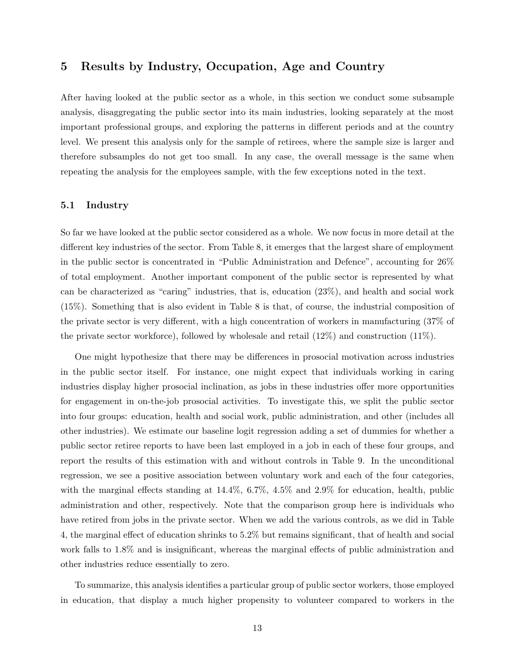## 5 Results by Industry, Occupation, Age and Country

After having looked at the public sector as a whole, in this section we conduct some subsample analysis, disaggregating the public sector into its main industries, looking separately at the most important professional groups, and exploring the patterns in different periods and at the country level. We present this analysis only for the sample of retirees, where the sample size is larger and therefore subsamples do not get too small. In any case, the overall message is the same when repeating the analysis for the employees sample, with the few exceptions noted in the text.

#### 5.1 Industry

So far we have looked at the public sector considered as a whole. We now focus in more detail at the different key industries of the sector. From Table 8, it emerges that the largest share of employment in the public sector is concentrated in "Public Administration and Defence", accounting for 26% of total employment. Another important component of the public sector is represented by what can be characterized as "caring" industries, that is, education (23%), and health and social work (15%). Something that is also evident in Table 8 is that, of course, the industrial composition of the private sector is very different, with a high concentration of workers in manufacturing (37% of the private sector workforce), followed by wholesale and retail (12%) and construction (11%).

One might hypothesize that there may be differences in prosocial motivation across industries in the public sector itself. For instance, one might expect that individuals working in caring industries display higher prosocial inclination, as jobs in these industries offer more opportunities for engagement in on-the-job prosocial activities. To investigate this, we split the public sector into four groups: education, health and social work, public administration, and other (includes all other industries). We estimate our baseline logit regression adding a set of dummies for whether a public sector retiree reports to have been last employed in a job in each of these four groups, and report the results of this estimation with and without controls in Table 9. In the unconditional regression, we see a positive association between voluntary work and each of the four categories, with the marginal effects standing at  $14.4\%$ ,  $6.7\%$ ,  $4.5\%$  and  $2.9\%$  for education, health, public administration and other, respectively. Note that the comparison group here is individuals who have retired from jobs in the private sector. When we add the various controls, as we did in Table 4, the marginal effect of education shrinks to 5.2% but remains significant, that of health and social work falls to 1.8% and is insignificant, whereas the marginal effects of public administration and other industries reduce essentially to zero.

To summarize, this analysis identifies a particular group of public sector workers, those employed in education, that display a much higher propensity to volunteer compared to workers in the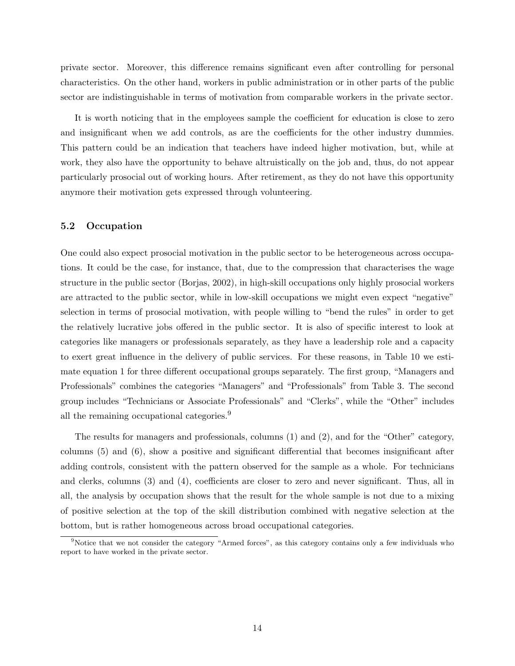private sector. Moreover, this difference remains significant even after controlling for personal characteristics. On the other hand, workers in public administration or in other parts of the public sector are indistinguishable in terms of motivation from comparable workers in the private sector.

It is worth noticing that in the employees sample the coefficient for education is close to zero and insignificant when we add controls, as are the coefficients for the other industry dummies. This pattern could be an indication that teachers have indeed higher motivation, but, while at work, they also have the opportunity to behave altruistically on the job and, thus, do not appear particularly prosocial out of working hours. After retirement, as they do not have this opportunity anymore their motivation gets expressed through volunteering.

#### 5.2 Occupation

One could also expect prosocial motivation in the public sector to be heterogeneous across occupations. It could be the case, for instance, that, due to the compression that characterises the wage structure in the public sector (Borjas, 2002), in high-skill occupations only highly prosocial workers are attracted to the public sector, while in low-skill occupations we might even expect "negative" selection in terms of prosocial motivation, with people willing to "bend the rules" in order to get the relatively lucrative jobs offered in the public sector. It is also of specific interest to look at categories like managers or professionals separately, as they have a leadership role and a capacity to exert great influence in the delivery of public services. For these reasons, in Table 10 we estimate equation 1 for three different occupational groups separately. The first group, "Managers and Professionals" combines the categories "Managers" and "Professionals" from Table 3. The second group includes "Technicians or Associate Professionals" and "Clerks", while the "Other" includes all the remaining occupational categories.<sup>9</sup>

The results for managers and professionals, columns (1) and (2), and for the "Other" category, columns (5) and (6), show a positive and significant differential that becomes insignificant after adding controls, consistent with the pattern observed for the sample as a whole. For technicians and clerks, columns (3) and (4), coefficients are closer to zero and never significant. Thus, all in all, the analysis by occupation shows that the result for the whole sample is not due to a mixing of positive selection at the top of the skill distribution combined with negative selection at the bottom, but is rather homogeneous across broad occupational categories.

<sup>9</sup>Notice that we not consider the category "Armed forces", as this category contains only a few individuals who report to have worked in the private sector.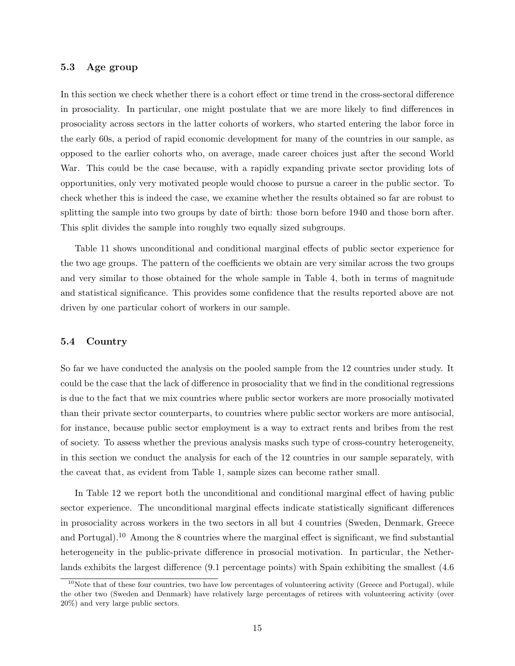#### 5.3 Age group

In this section we check whether there is a cohort effect or time trend in the cross-sectoral difference in prosociality. In particular, one might postulate that we are more likely to find differences in prosociality across sectors in the latter cohorts of workers, who started entering the labor force in the early 60s, a period of rapid economic development for many of the countries in our sample, as opposed to the earlier cohorts who, on average, made career choices just after the second World War. This could be the case because, with a rapidly expanding private sector providing lots of opportunities, only very motivated people would choose to pursue a career in the public sector. To check whether this is indeed the case, we examine whether the results obtained so far are robust to splitting the sample into two groups by date of birth: those born before 1940 and those born after. This split divides the sample into roughly two equally sized subgroups.

Table 11 shows unconditional and conditional marginal effects of public sector experience for the two age groups. The pattern of the coefficients we obtain are very similar across the two groups and very similar to those obtained for the whole sample in Table 4, both in terms of magnitude and statistical significance. This provides some confidence that the results reported above are not driven by one particular cohort of workers in our sample.

#### 5.4 Country

So far we have conducted the analysis on the pooled sample from the 12 countries under study. It could be the case that the lack of difference in prosociality that we find in the conditional regressions is due to the fact that we mix countries where public sector workers are more prosocially motivated than their private sector counterparts, to countries where public sector workers are more antisocial, for instance, because public sector employment is a way to extract rents and bribes from the rest of society. To assess whether the previous analysis masks such type of cross-country heterogeneity, in this section we conduct the analysis for each of the 12 countries in our sample separately, with the caveat that, as evident from Table 1, sample sizes can become rather small.

In Table 12 we report both the unconditional and conditional marginal effect of having public sector experience. The unconditional marginal effects indicate statistically significant differences in prosociality across workers in the two sectors in all but 4 countries (Sweden, Denmark, Greece and Portugal).<sup>10</sup> Among the 8 countries where the marginal effect is significant, we find substantial heterogeneity in the public-private difference in prosocial motivation. In particular, the Netherlands exhibits the largest difference (9.1 percentage points) with Spain exhibiting the smallest (4.6

 $10$ Note that of these four countries, two have low percentages of volunteering activity (Greece and Portugal), while the other two (Sweden and Denmark) have relatively large percentages of retirees with volunteering activity (over 20%) and very large public sectors.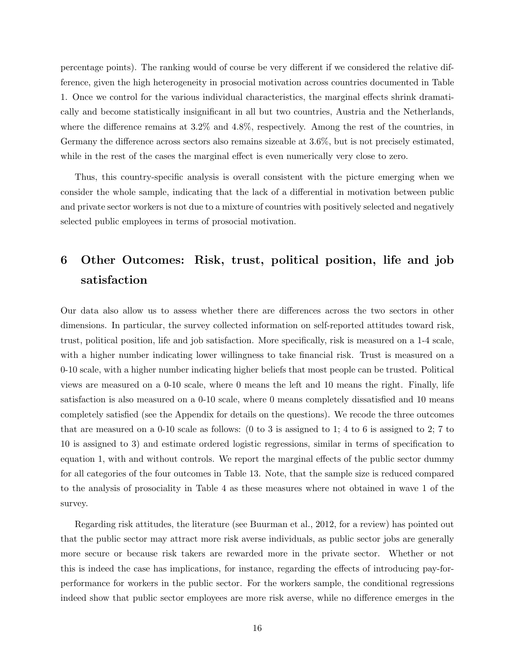percentage points). The ranking would of course be very different if we considered the relative difference, given the high heterogeneity in prosocial motivation across countries documented in Table 1. Once we control for the various individual characteristics, the marginal effects shrink dramatically and become statistically insignificant in all but two countries, Austria and the Netherlands, where the difference remains at 3.2% and 4.8%, respectively. Among the rest of the countries, in Germany the difference across sectors also remains sizeable at 3.6%, but is not precisely estimated, while in the rest of the cases the marginal effect is even numerically very close to zero.

Thus, this country-specific analysis is overall consistent with the picture emerging when we consider the whole sample, indicating that the lack of a differential in motivation between public and private sector workers is not due to a mixture of countries with positively selected and negatively selected public employees in terms of prosocial motivation.

# 6 Other Outcomes: Risk, trust, political position, life and job satisfaction

Our data also allow us to assess whether there are differences across the two sectors in other dimensions. In particular, the survey collected information on self-reported attitudes toward risk, trust, political position, life and job satisfaction. More specifically, risk is measured on a 1-4 scale, with a higher number indicating lower willingness to take financial risk. Trust is measured on a 0-10 scale, with a higher number indicating higher beliefs that most people can be trusted. Political views are measured on a 0-10 scale, where 0 means the left and 10 means the right. Finally, life satisfaction is also measured on a 0-10 scale, where 0 means completely dissatisfied and 10 means completely satisfied (see the Appendix for details on the questions). We recode the three outcomes that are measured on a  $0-10$  scale as follows: (0 to 3 is assigned to 1; 4 to 6 is assigned to 2; 7 to 10 is assigned to 3) and estimate ordered logistic regressions, similar in terms of specification to equation 1, with and without controls. We report the marginal effects of the public sector dummy for all categories of the four outcomes in Table 13. Note, that the sample size is reduced compared to the analysis of prosociality in Table 4 as these measures where not obtained in wave 1 of the survey.

Regarding risk attitudes, the literature (see Buurman et al., 2012, for a review) has pointed out that the public sector may attract more risk averse individuals, as public sector jobs are generally more secure or because risk takers are rewarded more in the private sector. Whether or not this is indeed the case has implications, for instance, regarding the effects of introducing pay-forperformance for workers in the public sector. For the workers sample, the conditional regressions indeed show that public sector employees are more risk averse, while no difference emerges in the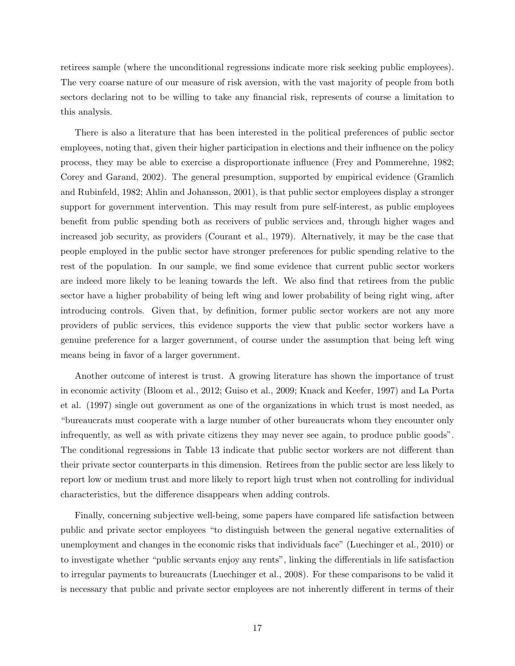retirees sample (where the unconditional regressions indicate more risk seeking public employees). The very coarse nature of our measure of risk aversion, with the vast majority of people from both sectors declaring not to be willing to take any financial risk, represents of course a limitation to this analysis.

There is also a literature that has been interested in the political preferences of public sector employees, noting that, given their higher participation in elections and their influence on the policy process, they may be able to exercise a disproportionate influence (Frey and Pommerehne, 1982; Corey and Garand, 2002). The general presumption, supported by empirical evidence (Gramlich and Rubinfeld, 1982; Ahlin and Johansson, 2001), is that public sector employees display a stronger support for government intervention. This may result from pure self-interest, as public employees benefit from public spending both as receivers of public services and, through higher wages and increased job security, as providers (Courant et al., 1979). Alternatively, it may be the case that people employed in the public sector have stronger preferences for public spending relative to the rest of the population. In our sample, we find some evidence that current public sector workers are indeed more likely to be leaning towards the left. We also find that retirees from the public sector have a higher probability of being left wing and lower probability of being right wing, after introducing controls. Given that, by definition, former public sector workers are not any more providers of public services, this evidence supports the view that public sector workers have a genuine preference for a larger government, of course under the assumption that being left wing means being in favor of a larger government.

Another outcome of interest is trust. A growing literature has shown the importance of trust in economic activity (Bloom et al., 2012; Guiso et al., 2009; Knack and Keefer, 1997) and La Porta et al. (1997) single out government as one of the organizations in which trust is most needed, as "bureaucrats must cooperate with a large number of other bureaucrats whom they encounter only infrequently, as well as with private citizens they may never see again, to produce public goods". The conditional regressions in Table 13 indicate that public sector workers are not different than their private sector counterparts in this dimension. Retirees from the public sector are less likely to report low or medium trust and more likely to report high trust when not controlling for individual characteristics, but the difference disappears when adding controls.

Finally, concerning subjective well-being, some papers have compared life satisfaction between public and private sector employees "to distinguish between the general negative externalities of unemployment and changes in the economic risks that individuals face" (Luechinger et al., 2010) or to investigate whether "public servants enjoy any rents", linking the differentials in life satisfaction to irregular payments to bureaucrats (Luechinger et al., 2008). For these comparisons to be valid it is necessary that public and private sector employees are not inherently different in terms of their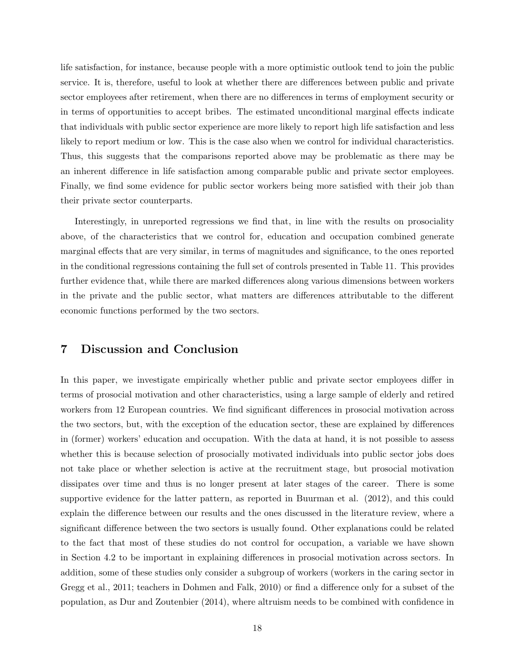life satisfaction, for instance, because people with a more optimistic outlook tend to join the public service. It is, therefore, useful to look at whether there are differences between public and private sector employees after retirement, when there are no differences in terms of employment security or in terms of opportunities to accept bribes. The estimated unconditional marginal effects indicate that individuals with public sector experience are more likely to report high life satisfaction and less likely to report medium or low. This is the case also when we control for individual characteristics. Thus, this suggests that the comparisons reported above may be problematic as there may be an inherent difference in life satisfaction among comparable public and private sector employees. Finally, we find some evidence for public sector workers being more satisfied with their job than their private sector counterparts.

Interestingly, in unreported regressions we find that, in line with the results on prosociality above, of the characteristics that we control for, education and occupation combined generate marginal effects that are very similar, in terms of magnitudes and significance, to the ones reported in the conditional regressions containing the full set of controls presented in Table 11. This provides further evidence that, while there are marked differences along various dimensions between workers in the private and the public sector, what matters are differences attributable to the different economic functions performed by the two sectors.

## 7 Discussion and Conclusion

In this paper, we investigate empirically whether public and private sector employees differ in terms of prosocial motivation and other characteristics, using a large sample of elderly and retired workers from 12 European countries. We find significant differences in prosocial motivation across the two sectors, but, with the exception of the education sector, these are explained by differences in (former) workers' education and occupation. With the data at hand, it is not possible to assess whether this is because selection of prosocially motivated individuals into public sector jobs does not take place or whether selection is active at the recruitment stage, but prosocial motivation dissipates over time and thus is no longer present at later stages of the career. There is some supportive evidence for the latter pattern, as reported in Buurman et al. (2012), and this could explain the difference between our results and the ones discussed in the literature review, where a significant difference between the two sectors is usually found. Other explanations could be related to the fact that most of these studies do not control for occupation, a variable we have shown in Section 4.2 to be important in explaining differences in prosocial motivation across sectors. In addition, some of these studies only consider a subgroup of workers (workers in the caring sector in Gregg et al., 2011; teachers in Dohmen and Falk, 2010) or find a difference only for a subset of the population, as Dur and Zoutenbier (2014), where altruism needs to be combined with confidence in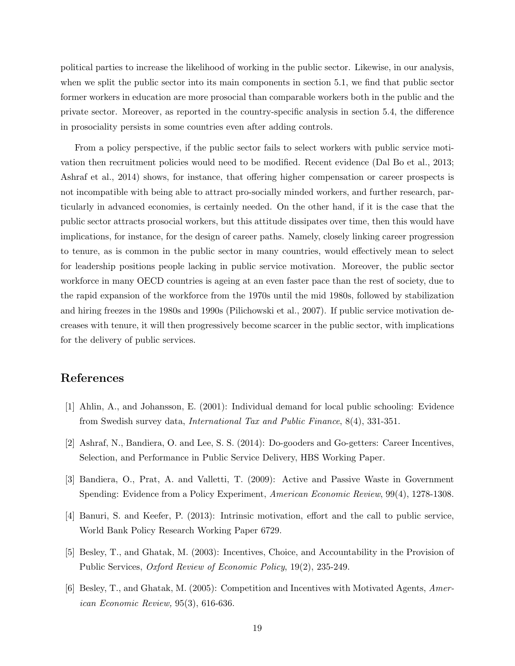political parties to increase the likelihood of working in the public sector. Likewise, in our analysis, when we split the public sector into its main components in section 5.1, we find that public sector former workers in education are more prosocial than comparable workers both in the public and the private sector. Moreover, as reported in the country-specific analysis in section 5.4, the difference in prosociality persists in some countries even after adding controls.

From a policy perspective, if the public sector fails to select workers with public service motivation then recruitment policies would need to be modified. Recent evidence (Dal Bo et al., 2013; Ashraf et al., 2014) shows, for instance, that offering higher compensation or career prospects is not incompatible with being able to attract pro-socially minded workers, and further research, particularly in advanced economies, is certainly needed. On the other hand, if it is the case that the public sector attracts prosocial workers, but this attitude dissipates over time, then this would have implications, for instance, for the design of career paths. Namely, closely linking career progression to tenure, as is common in the public sector in many countries, would effectively mean to select for leadership positions people lacking in public service motivation. Moreover, the public sector workforce in many OECD countries is ageing at an even faster pace than the rest of society, due to the rapid expansion of the workforce from the 1970s until the mid 1980s, followed by stabilization and hiring freezes in the 1980s and 1990s (Pilichowski et al., 2007). If public service motivation decreases with tenure, it will then progressively become scarcer in the public sector, with implications for the delivery of public services.

## References

- [1] Ahlin, A., and Johansson, E. (2001): Individual demand for local public schooling: Evidence from Swedish survey data, International Tax and Public Finance, 8(4), 331-351.
- [2] Ashraf, N., Bandiera, O. and Lee, S. S. (2014): Do-gooders and Go-getters: Career Incentives, Selection, and Performance in Public Service Delivery, HBS Working Paper.
- [3] Bandiera, O., Prat, A. and Valletti, T. (2009): Active and Passive Waste in Government Spending: Evidence from a Policy Experiment, American Economic Review, 99(4), 1278-1308.
- [4] Banuri, S. and Keefer, P. (2013): Intrinsic motivation, effort and the call to public service, World Bank Policy Research Working Paper 6729.
- [5] Besley, T., and Ghatak, M. (2003): Incentives, Choice, and Accountability in the Provision of Public Services, Oxford Review of Economic Policy, 19(2), 235-249.
- [6] Besley, T., and Ghatak, M. (2005): Competition and Incentives with Motivated Agents, American Economic Review, 95(3), 616-636.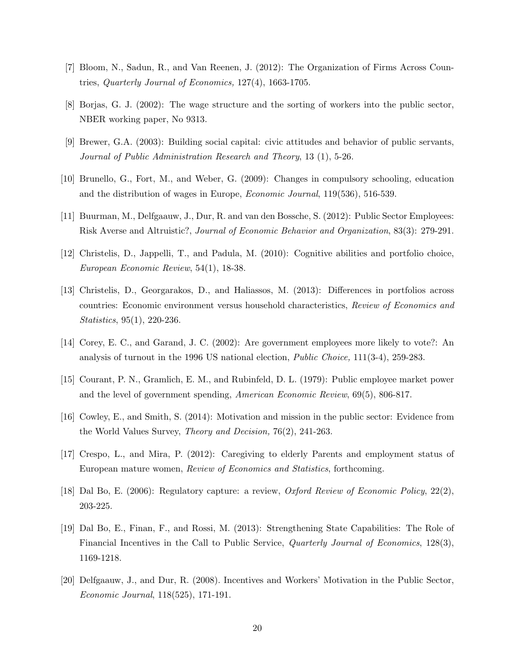- [7] Bloom, N., Sadun, R., and Van Reenen, J. (2012): The Organization of Firms Across Countries, Quarterly Journal of Economics, 127(4), 1663-1705.
- [8] Borjas, G. J. (2002): The wage structure and the sorting of workers into the public sector, NBER working paper, No 9313.
- [9] Brewer, G.A. (2003): Building social capital: civic attitudes and behavior of public servants, Journal of Public Administration Research and Theory, 13 (1), 5-26.
- [10] Brunello, G., Fort, M., and Weber, G. (2009): Changes in compulsory schooling, education and the distribution of wages in Europe, Economic Journal, 119(536), 516-539.
- [11] Buurman, M., Delfgaauw, J., Dur, R. and van den Bossche, S. (2012): Public Sector Employees: Risk Averse and Altruistic?, Journal of Economic Behavior and Organization, 83(3): 279-291.
- [12] Christelis, D., Jappelli, T., and Padula, M. (2010): Cognitive abilities and portfolio choice, European Economic Review, 54(1), 18-38.
- [13] Christelis, D., Georgarakos, D., and Haliassos, M. (2013): Differences in portfolios across countries: Economic environment versus household characteristics, Review of Economics and Statistics, 95(1), 220-236.
- [14] Corey, E. C., and Garand, J. C. (2002): Are government employees more likely to vote?: An analysis of turnout in the 1996 US national election, Public Choice, 111(3-4), 259-283.
- [15] Courant, P. N., Gramlich, E. M., and Rubinfeld, D. L. (1979): Public employee market power and the level of government spending, American Economic Review, 69(5), 806-817.
- [16] Cowley, E., and Smith, S. (2014): Motivation and mission in the public sector: Evidence from the World Values Survey, Theory and Decision, 76(2), 241-263.
- [17] Crespo, L., and Mira, P. (2012): Caregiving to elderly Parents and employment status of European mature women, Review of Economics and Statistics, forthcoming.
- [18] Dal Bo, E. (2006): Regulatory capture: a review, Oxford Review of Economic Policy, 22(2), 203-225.
- [19] Dal Bo, E., Finan, F., and Rossi, M. (2013): Strengthening State Capabilities: The Role of Financial Incentives in the Call to Public Service, Quarterly Journal of Economics, 128(3), 1169-1218.
- [20] Delfgaauw, J., and Dur, R. (2008). Incentives and Workers' Motivation in the Public Sector, Economic Journal, 118(525), 171-191.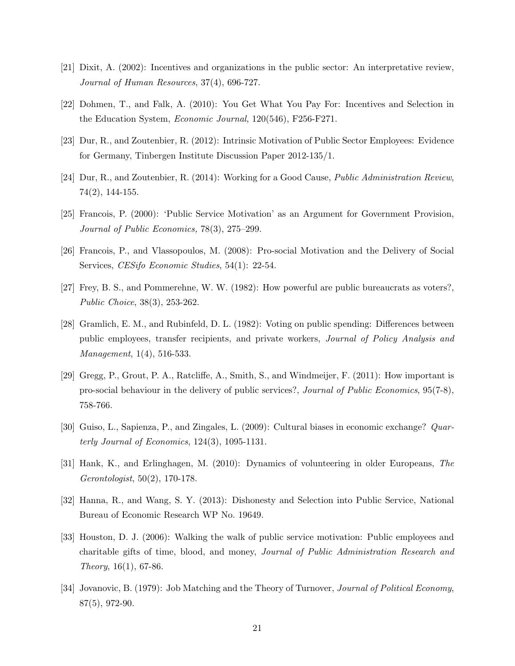- [21] Dixit, A. (2002): Incentives and organizations in the public sector: An interpretative review, Journal of Human Resources, 37(4), 696-727.
- [22] Dohmen, T., and Falk, A. (2010): You Get What You Pay For: Incentives and Selection in the Education System, Economic Journal, 120(546), F256-F271.
- [23] Dur, R., and Zoutenbier, R. (2012): Intrinsic Motivation of Public Sector Employees: Evidence for Germany, Tinbergen Institute Discussion Paper 2012-135/1.
- [24] Dur, R., and Zoutenbier, R. (2014): Working for a Good Cause, Public Administration Review, 74(2), 144-155.
- [25] Francois, P. (2000): 'Public Service Motivation' as an Argument for Government Provision, Journal of Public Economics, 78(3), 275–299.
- [26] Francois, P., and Vlassopoulos, M. (2008): Pro-social Motivation and the Delivery of Social Services, CESifo Economic Studies, 54(1): 22-54.
- [27] Frey, B. S., and Pommerehne, W. W. (1982): How powerful are public bureaucrats as voters?, Public Choice, 38(3), 253-262.
- [28] Gramlich, E. M., and Rubinfeld, D. L. (1982): Voting on public spending: Differences between public employees, transfer recipients, and private workers, Journal of Policy Analysis and Management, 1(4), 516-533.
- [29] Gregg, P., Grout, P. A., Ratcliffe, A., Smith, S., and Windmeijer, F. (2011): How important is pro-social behaviour in the delivery of public services?, Journal of Public Economics, 95(7-8), 758-766.
- [30] Guiso, L., Sapienza, P., and Zingales, L. (2009): Cultural biases in economic exchange? Quarterly Journal of Economics, 124(3), 1095-1131.
- [31] Hank, K., and Erlinghagen, M. (2010): Dynamics of volunteering in older Europeans, The Gerontologist, 50(2), 170-178.
- [32] Hanna, R., and Wang, S. Y. (2013): Dishonesty and Selection into Public Service, National Bureau of Economic Research WP No. 19649.
- [33] Houston, D. J. (2006): Walking the walk of public service motivation: Public employees and charitable gifts of time, blood, and money, Journal of Public Administration Research and  $Theory, 16(1), 67-86.$
- [34] Jovanovic, B. (1979): Job Matching and the Theory of Turnover, Journal of Political Economy, 87(5), 972-90.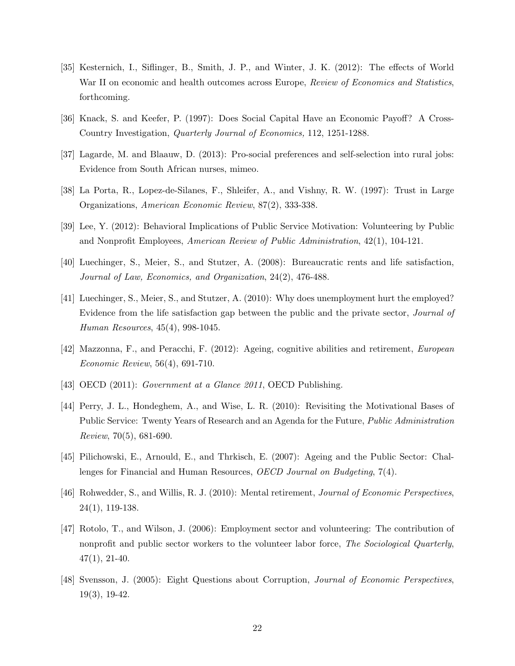- [35] Kesternich, I., Siflinger, B., Smith, J. P., and Winter, J. K. (2012): The effects of World War II on economic and health outcomes across Europe, Review of Economics and Statistics, forthcoming.
- [36] Knack, S. and Keefer, P. (1997): Does Social Capital Have an Economic Payoff? A Cross-Country Investigation, Quarterly Journal of Economics, 112, 1251-1288.
- [37] Lagarde, M. and Blaauw, D. (2013): Pro-social preferences and self-selection into rural jobs: Evidence from South African nurses, mimeo.
- [38] La Porta, R., Lopez-de-Silanes, F., Shleifer, A., and Vishny, R. W. (1997): Trust in Large Organizations, American Economic Review, 87(2), 333-338.
- [39] Lee, Y. (2012): Behavioral Implications of Public Service Motivation: Volunteering by Public and Nonprofit Employees, American Review of Public Administration, 42(1), 104-121.
- [40] Luechinger, S., Meier, S., and Stutzer, A. (2008): Bureaucratic rents and life satisfaction, Journal of Law, Economics, and Organization, 24(2), 476-488.
- [41] Luechinger, S., Meier, S., and Stutzer, A. (2010): Why does unemployment hurt the employed? Evidence from the life satisfaction gap between the public and the private sector, Journal of Human Resources, 45(4), 998-1045.
- [42] Mazzonna, F., and Peracchi, F. (2012): Ageing, cognitive abilities and retirement, European Economic Review, 56(4), 691-710.
- [43] OECD (2011): Government at a Glance 2011, OECD Publishing.
- [44] Perry, J. L., Hondeghem, A., and Wise, L. R. (2010): Revisiting the Motivational Bases of Public Service: Twenty Years of Research and an Agenda for the Future, Public Administration Review, 70(5), 681-690.
- [45] Pilichowski, E., Arnould, E., and Thrkisch, E. (2007): Ageing and the Public Sector: Challenges for Financial and Human Resources, OECD Journal on Budgeting, 7(4).
- [46] Rohwedder, S., and Willis, R. J. (2010): Mental retirement, Journal of Economic Perspectives, 24(1), 119-138.
- [47] Rotolo, T., and Wilson, J. (2006): Employment sector and volunteering: The contribution of nonprofit and public sector workers to the volunteer labor force, The Sociological Quarterly,  $47(1), 21-40.$
- [48] Svensson, J. (2005): Eight Questions about Corruption, Journal of Economic Perspectives, 19(3), 19-42.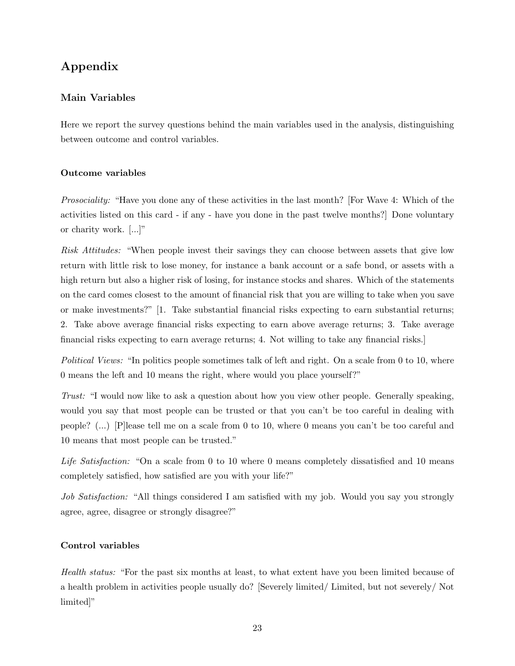## Appendix

## Main Variables

Here we report the survey questions behind the main variables used in the analysis, distinguishing between outcome and control variables.

### Outcome variables

Prosociality: "Have you done any of these activities in the last month? [For Wave 4: Which of the activities listed on this card - if any - have you done in the past twelve months?] Done voluntary or charity work. [...]"

Risk Attitudes: "When people invest their savings they can choose between assets that give low return with little risk to lose money, for instance a bank account or a safe bond, or assets with a high return but also a higher risk of losing, for instance stocks and shares. Which of the statements on the card comes closest to the amount of financial risk that you are willing to take when you save or make investments?" [1. Take substantial financial risks expecting to earn substantial returns; 2. Take above average financial risks expecting to earn above average returns; 3. Take average financial risks expecting to earn average returns; 4. Not willing to take any financial risks.]

Political Views: "In politics people sometimes talk of left and right. On a scale from 0 to 10, where 0 means the left and 10 means the right, where would you place yourself?"

Trust: "I would now like to ask a question about how you view other people. Generally speaking, would you say that most people can be trusted or that you can't be too careful in dealing with people? (...) [P]lease tell me on a scale from 0 to 10, where 0 means you can't be too careful and 10 means that most people can be trusted."

Life Satisfaction: "On a scale from 0 to 10 where 0 means completely dissatisfied and 10 means completely satisfied, how satisfied are you with your life?"

Job Satisfaction: "All things considered I am satisfied with my job. Would you say you strongly agree, agree, disagree or strongly disagree?"

### Control variables

Health status: "For the past six months at least, to what extent have you been limited because of a health problem in activities people usually do? [Severely limited/ Limited, but not severely/ Not limited]"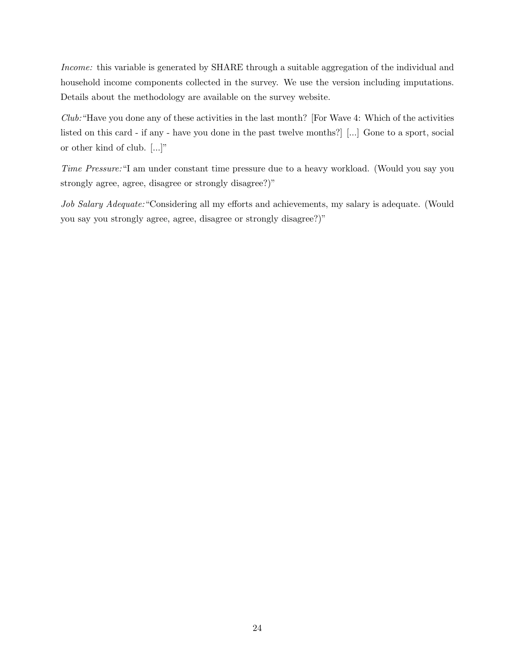Income: this variable is generated by SHARE through a suitable aggregation of the individual and household income components collected in the survey. We use the version including imputations. Details about the methodology are available on the survey website.

Club:"Have you done any of these activities in the last month? [For Wave 4: Which of the activities listed on this card - if any - have you done in the past twelve months?] [...] Gone to a sport, social or other kind of club. [...]"

Time Pressure:"I am under constant time pressure due to a heavy workload. (Would you say you strongly agree, agree, disagree or strongly disagree?)"

Job Salary Adequate: "Considering all my efforts and achievements, my salary is adequate. (Would you say you strongly agree, agree, disagree or strongly disagree?)"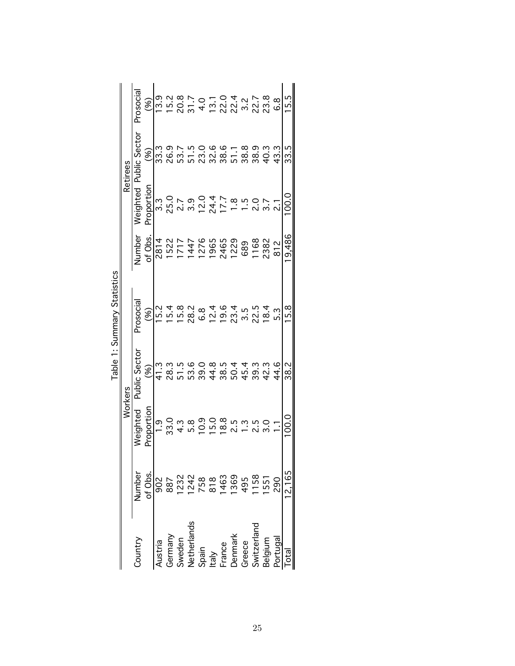|                                                                                   |                                             |                                                             | Workers       |                                                                                                                                                                                                                                                                                                               |                                                                              |                                               | Retirees                          |                                 |
|-----------------------------------------------------------------------------------|---------------------------------------------|-------------------------------------------------------------|---------------|---------------------------------------------------------------------------------------------------------------------------------------------------------------------------------------------------------------------------------------------------------------------------------------------------------------|------------------------------------------------------------------------------|-----------------------------------------------|-----------------------------------|---------------------------------|
| Country                                                                           | Number                                      | eighted                                                     | Public Sector | rosocial                                                                                                                                                                                                                                                                                                      | Number                                                                       | Veighted                                      | blic Sector                       | Prosocia                        |
|                                                                                   | of Obs.                                     |                                                             | (%)           | જ્ઞ                                                                                                                                                                                                                                                                                                           | of Obs                                                                       | Proportion                                    | Ş                                 |                                 |
| Austria                                                                           |                                             | <u>ი</u><br>—                                               | 41.3          | 15.2                                                                                                                                                                                                                                                                                                          | 2814                                                                         |                                               | 33.3                              | 13.9                            |
|                                                                                   | $0.8787888885855550887550$ 8872428863958550 | ು.<br>೧                                                     | ვ.<br>28      | $15.8$<br>$15.8$                                                                                                                                                                                                                                                                                              |                                                                              | 3 2 2 3 2 4 7<br>3 2 3 3 4 7 7<br>3 3 4 7 7 7 | 26.9                              |                                 |
|                                                                                   |                                             |                                                             |               |                                                                                                                                                                                                                                                                                                               |                                                                              |                                               |                                   |                                 |
|                                                                                   |                                             |                                                             | დ.<br>53      | 28.2                                                                                                                                                                                                                                                                                                          |                                                                              |                                               |                                   |                                 |
|                                                                                   |                                             | $5.9$<br>$10.9$<br>$15.0$                                   | 0.6<br>გ      | $6.\overline{8}$                                                                                                                                                                                                                                                                                              |                                                                              |                                               | 7<br>2006<br>2006<br>2006<br>2006 |                                 |
|                                                                                   |                                             |                                                             | 44.8          |                                                                                                                                                                                                                                                                                                               |                                                                              |                                               |                                   |                                 |
| Germany<br>Sweden<br>Netherlands<br>Spain<br>Laly<br>France<br>Denmark<br>Denmark |                                             | 18.8                                                        | 38.5          |                                                                                                                                                                                                                                                                                                               | 1 1 1 1 2 3 4 5<br>1 7 4 7 6 6 6 7 9<br>1 7 4 7 6 6 7 9<br>1 7 4 7 6 7 9 7 9 |                                               |                                   |                                 |
|                                                                                   |                                             |                                                             | 50.4          |                                                                                                                                                                                                                                                                                                               |                                                                              | $\frac{3}{1}$                                 | 51.1<br>38.8                      |                                 |
|                                                                                   |                                             |                                                             | 45.4          |                                                                                                                                                                                                                                                                                                               | 689                                                                          |                                               |                                   |                                 |
| Switzerland<br>Belgium                                                            |                                             | $2.5$<br>$2.5$<br>$2.5$<br>$2.5$<br>$2.5$<br>$2.5$<br>$2.5$ | 39.3          | $\begin{array}{l} 19.7 \\ 19.7 \\ 20.7 \\ 30.7 \\ 40.7 \\ 50.7 \\ 50.7 \\ 50.7 \\ 70.7 \\ 70.7 \\ 70.7 \\ 70.7 \\ 70.7 \\ 70.7 \\ 70.7 \\ 70.7 \\ 70.7 \\ 70.7 \\ 70.7 \\ 70.7 \\ 70.7 \\ 70.7 \\ 70.7 \\ 70.7 \\ 70.7 \\ 70.7 \\ 70.7 \\ 70.7 \\ 70.7 \\ 70.7 \\ 70.7 \\ 70.7 \\ 70.7 \\ 70.7 \\ 70.7 \\ 70$ | 1168                                                                         | 0.<br>نہ                                      | 38.9                              | $12077072777787778777877787778$ |
|                                                                                   |                                             |                                                             | 42.3          |                                                                                                                                                                                                                                                                                                               | 2382                                                                         | $3.7$<br>2.1                                  | 40.3                              |                                 |
| <sup>p</sup> ortugal                                                              |                                             |                                                             | 44.6          | 5.3                                                                                                                                                                                                                                                                                                           | 812                                                                          |                                               | 43.3                              | 8.9                             |
| otal                                                                              | 12,165                                      |                                                             | 38.2          | 15.8                                                                                                                                                                                                                                                                                                          | 9,486                                                                        | $\rm \ddot{\rm o}$                            | 33.5                              | 15.5                            |

Table 1: Summary Statistics Table 1: Summary Statistics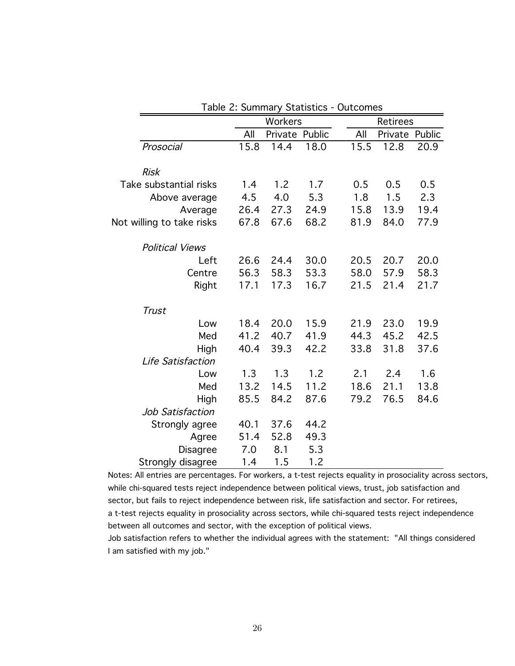|                           |      | Workers        |      |      | <b>Retirees</b> |        |
|---------------------------|------|----------------|------|------|-----------------|--------|
|                           | All  | Private Public |      | All  | Private         | Public |
| Prosocial                 | 15.8 | 14.4           | 18.0 | 15.5 | 12.8            | 20.9   |
|                           |      |                |      |      |                 |        |
| <b>Risk</b>               |      |                |      |      |                 |        |
| Take substantial risks    | 1.4  | 1.2            | 1.7  | 0.5  | 0.5             | 0.5    |
| Above average             | 4.5  | 4.0            | 5.3  | 1.8  | 1.5             | 2.3    |
| Average                   | 26.4 | 27.3           | 24.9 | 15.8 | 13.9            | 19.4   |
| Not willing to take risks | 67.8 | 67.6           | 68.2 | 81.9 | 84.0            | 77.9   |
| <b>Political Views</b>    |      |                |      |      |                 |        |
| Left                      | 26.6 | 24.4           | 30.0 | 20.5 | 20.7            | 20.0   |
| Centre                    | 56.3 | 58.3           | 53.3 | 58.0 | 57.9            | 58.3   |
| Right                     | 17.1 | 17.3           | 16.7 | 21.5 | 21.4            | 21.7   |
| <b>Trust</b>              |      |                |      |      |                 |        |
| Low                       | 18.4 | 20.0           | 15.9 | 21.9 | 23.0            | 19.9   |
| Med                       | 41.2 | 40.7           | 41.9 | 44.3 | 45.2            | 42.5   |
| High                      | 40.4 | 39.3           | 42.2 | 33.8 | 31.8            | 37.6   |
| Life Satisfaction         |      |                |      |      |                 |        |
| Low                       | 1.3  | 1.3            | 1.2  | 2.1  | 2.4             | 1.6    |
| Med                       | 13.2 | 14.5           | 11.2 | 18.6 | 21.1            | 13.8   |
| High                      | 85.5 | 84.2           | 87.6 | 79.2 | 76.5            | 84.6   |
| Job Satisfaction          |      |                |      |      |                 |        |
| Strongly agree            | 40.1 | 37.6           | 44.2 |      |                 |        |
|                           | 51.4 | 52.8           | 49.3 |      |                 |        |
| Agree                     |      |                |      |      |                 |        |
| <b>Disagree</b>           | 7.0  | 8.1            | 5.3  |      |                 |        |
| Strongly disagree         | 1.4  | 1.5            | 1.2  |      |                 |        |

Table 2: Summary Statistics - Outcomes

sector, but fails to reject independence between risk, life satisfaction and sector. For retirees, a t-test rejects equality in prosociality across sectors, while chi-squared tests reject independence between all outcomes and sector, with the exception of political views. Notes: All entries are percentages. For workers, a t-test rejects equality in prosociality across sectors, while chi-squared tests reject independence between political views, trust, job satisfaction and

Job satisfaction refers to whether the individual agrees with the statement: "All things considered I am satisfied with my job."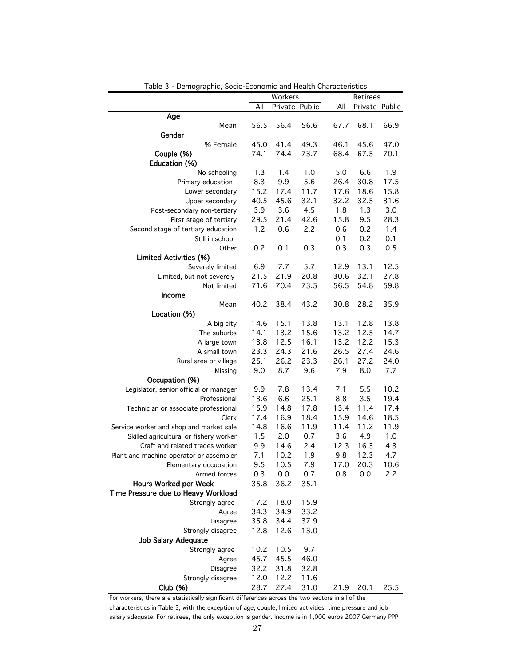|                                         |      | Workers        |      |      | Retirees       |      |
|-----------------------------------------|------|----------------|------|------|----------------|------|
|                                         | All  | Private Public |      | All  | Private Public |      |
| Age                                     |      |                |      |      |                |      |
| Mean                                    | 56.5 | 56.4           | 56.6 | 67.7 | 68.1           | 66.9 |
| Gender                                  |      |                |      |      |                |      |
| % Female                                | 45.0 | 41.4           | 49.3 | 46.1 | 45.6           | 47.0 |
| Couple (%)                              | 74.1 | 74.4           | 73.7 | 68.4 | 67.5           | 70.1 |
| Education (%)                           |      |                |      |      |                |      |
| No schooling                            | 1.3  | 1.4            | 1.0  | 5.0  | 6.6            | 1.9  |
| Primary education                       | 8.3  | 9.9            | 5.6  | 26.4 | 30.8           | 17.5 |
| Lower secondary                         | 15.2 | 17.4           | 11.7 | 17.6 | 18.6           | 15.8 |
| Upper secondary                         | 40.5 | 45.6           | 32.1 | 32.2 | 32.5           | 31.6 |
| Post-secondary non-tertiary             | 3.9  | 3.6            | 4.5  | 1.8  | 1.3            | 3.0  |
|                                         | 29.5 | 21.4           | 42.6 | 15.8 | 9.5            | 28.3 |
| First stage of tertiary                 |      |                |      |      |                |      |
| Second stage of tertiary education      | 1.2  | 0.6            | 2.2  | 0.6  | 0.2            | 1.4  |
| Still in school                         |      |                |      | 0.1  | 0.2            | 0.1  |
| Other                                   | 0.2  | 0.1            | 0.3  | 0.3  | 0.3            | 0.5  |
| <b>Limited Activities (%)</b>           |      |                |      |      |                |      |
| Severely limited                        | 6.9  | 7.7            | 5.7  | 12.9 | 13.1           | 12.5 |
| Limited, but not severely               | 21.5 | 21.9           | 20.8 | 30.6 | 32.1           | 27.8 |
| Not limited                             | 71.6 | 70.4           | 73.5 | 56.5 | 54.8           | 59.8 |
| Income                                  |      |                |      |      |                |      |
| Mean                                    | 40.2 | 38.4           | 43.2 | 30.8 | 28.2           | 35.9 |
| Location (%)                            |      |                |      |      |                |      |
| A big city                              | 14.6 | 15.1           | 13.8 | 13.1 | 12.8           | 13.8 |
| The suburbs                             | 14.1 | 13.2           | 15.6 | 13.2 | 12.5           | 14.7 |
| A large town                            | 13.8 | 12.5           | 16.1 | 13.2 | 12.2           | 15.3 |
| A small town                            | 23.3 | 24.3           | 21.6 | 26.5 | 27.4           | 24.6 |
| Rural area or village                   | 25.1 | 26.2           | 23.3 | 26.1 | 27.2           | 24.0 |
| Missing                                 | 9.0  | 8.7            | 9.6  | 7.9  | 8.0            | 7.7  |
| Occupation (%)                          |      |                |      |      |                |      |
| Legislator, senior official or manager  | 9.9  | 7.8            | 13.4 | 7.1  | 5.5            | 10.2 |
| Professional                            | 13.6 | 6.6            | 25.1 | 8.8  | 3.5            | 19.4 |
| Technician or associate professional    | 15.9 | 14.8           | 17.8 | 13.4 | 11.4           | 17.4 |
| Clerk                                   | 17.4 | 16.9           | 18.4 | 15.9 | 14.6           | 18.5 |
| Service worker and shop and market sale | 14.8 | 16.6           | 11.9 | 11.4 | 11.2           | 11.9 |
| Skilled agricultural or fishery worker  | 1.5  | 2.0            | 0.7  | 3.6  | 4.9            | 1.0  |
| Craft and related trades worker         | 9.9  | 14.6           | 2.4  | 12.3 | 16.3           | 4.3  |
| Plant and machine operator or assembler | 7.1  | 10.2           | 1.9  | 9.8  | 12.3           | 4.7  |
| Elementary occupation                   | 9.5  | 10.5           | 7.9  | 17.0 | 20.3           | 10.6 |
| Armed forces                            | 0.3  | 0.0            | 0.7  | 0.8  | 0.0            | 2.2  |
| Hours Worked per Week                   | 35.8 | 36.2           | 35.1 |      |                |      |
| Time Pressure due to Heavy Workload     |      |                |      |      |                |      |
| Strongly agree                          | 17.2 |                |      |      |                |      |
|                                         |      | 18.0           | 15.9 |      |                |      |
| Agree                                   | 34.3 | 34.9           | 33.2 |      |                |      |
| Disagree                                | 35.8 | 34.4           | 37.9 |      |                |      |
| Strongly disagree                       | 12.8 | 12.6           | 13.0 |      |                |      |
| Job Salary Adequate                     |      |                |      |      |                |      |
| Strongly agree                          | 10.2 | 10.5           | 9.7  |      |                |      |
| Agree                                   | 45.7 | 45.5           | 46.0 |      |                |      |
| Disagree                                | 32.2 | 31.8           | 32.8 |      |                |      |
| Strongly disagree                       | 12.0 | 12.2           | 11.6 |      |                |      |
| Club (%)                                | 28.7 | 27.4           | 31.0 | 21.9 | 20.1           | 25.5 |

| Table 3 - Demographic, Socio-Economic and Health Characteristics |  |  |
|------------------------------------------------------------------|--|--|

For workers, there are statistically significant differences across the two sectors in all of the characteristics in Table 3, with the exception of age, couple, limited activities, time pressure and job salary adequate. For retirees, the only exception is gender. Income is in 1,000 euros 2007 Germany PPP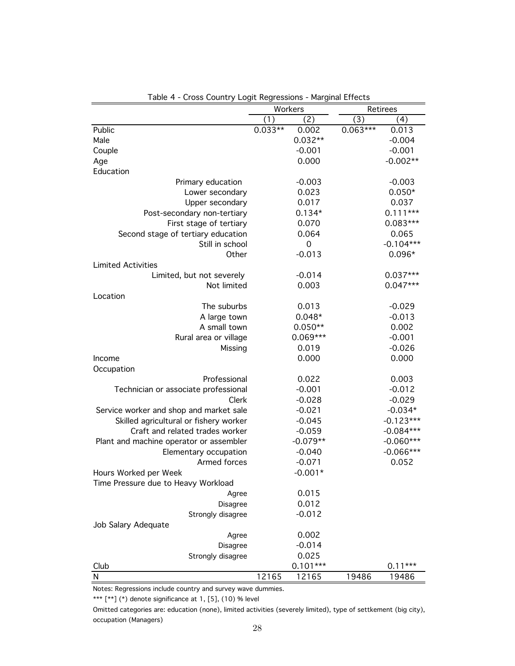|                                         |           | Workers    |            | Retirees    |
|-----------------------------------------|-----------|------------|------------|-------------|
|                                         | (1)       | (2)        | (3)        | (4)         |
| Public                                  | $0.033**$ | 0.002      | $0.063***$ | 0.013       |
| Male                                    |           | $0.032**$  |            | $-0.004$    |
| Couple                                  |           | $-0.001$   |            | $-0.001$    |
| Age                                     |           | 0.000      |            | $-0.002**$  |
| Education                               |           |            |            |             |
| Primary education                       |           | $-0.003$   |            | $-0.003$    |
| Lower secondary                         |           | 0.023      |            | $0.050*$    |
| Upper secondary                         |           | 0.017      |            | 0.037       |
| Post-secondary non-tertiary             |           | $0.134*$   |            | $0.111***$  |
| First stage of tertiary                 |           | 0.070      |            | $0.083***$  |
| Second stage of tertiary education      |           | 0.064      |            | 0.065       |
| Still in school                         |           | 0          |            | $-0.104***$ |
| Other                                   |           | $-0.013$   |            | $0.096*$    |
| <b>Limited Activities</b>               |           |            |            |             |
| Limited, but not severely               |           | $-0.014$   |            | $0.037***$  |
| Not limited                             |           | 0.003      |            | $0.047***$  |
| Location                                |           |            |            |             |
| The suburbs                             |           | 0.013      |            | $-0.029$    |
| A large town                            |           | $0.048*$   |            | $-0.013$    |
| A small town                            |           | $0.050**$  |            | 0.002       |
| Rural area or village                   |           | $0.069***$ |            | $-0.001$    |
| Missing                                 |           | 0.019      |            | $-0.026$    |
| Income                                  |           | 0.000      |            | 0.000       |
| Occupation                              |           |            |            |             |
| Professional                            |           | 0.022      |            | 0.003       |
| Technician or associate professional    |           | $-0.001$   |            | $-0.012$    |
| Clerk                                   |           | $-0.028$   |            | $-0.029$    |
| Service worker and shop and market sale |           | $-0.021$   |            | $-0.034*$   |
| Skilled agricultural or fishery worker  |           | $-0.045$   |            | $-0.123***$ |
| Craft and related trades worker         |           | $-0.059$   |            | $-0.084***$ |
|                                         |           | $-0.079**$ |            | $-0.060***$ |
| Plant and machine operator or assembler |           |            |            | $-0.066***$ |
| Elementary occupation                   |           | $-0.040$   |            |             |
| Armed forces                            |           | $-0.071$   |            | 0.052       |
| Hours Worked per Week                   |           | $-0.001*$  |            |             |
| Time Pressure due to Heavy Workload     |           |            |            |             |
| Agree                                   |           | 0.015      |            |             |
| Disagree                                |           | 0.012      |            |             |
| Strongly disagree                       |           | $-0.012$   |            |             |
| Job Salary Adequate                     |           |            |            |             |
| Agree                                   |           | 0.002      |            |             |
| Disagree                                |           | $-0.014$   |            |             |
| Strongly disagree                       |           | 0.025      |            |             |
| Club                                    |           | $0.101***$ |            | $0.11***$   |
| N                                       | 12165     | 12165      | 19486      | 19486       |

Table 4 - Cross Country Logit Regressions - Marginal Effects

Notes: Regressions include country and survey wave dummies.

\*\*\*  $[$ \*\*] (\*) denote significance at 1, [5], (10) % level

occupation (Managers) Omitted categories are: education (none), limited activities (severely limited), type of settkement (big city),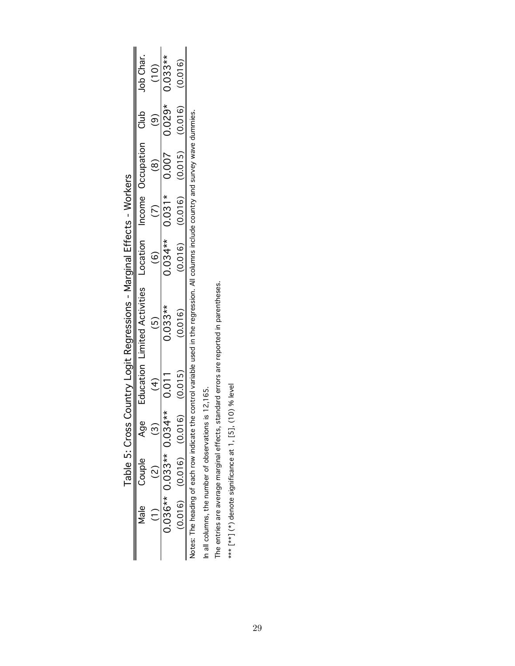|                                                                                                                                                                                                 |  | $\frac{1}{2}$                   |                                       |                                                   |
|-------------------------------------------------------------------------------------------------------------------------------------------------------------------------------------------------|--|---------------------------------|---------------------------------------|---------------------------------------------------|
|                                                                                                                                                                                                 |  |                                 |                                       |                                                   |
|                                                                                                                                                                                                 |  |                                 | $0.034**$ $0.031*$ $0.029*$ $0.033**$ | $(0.016)$ $(0.016)$ $(0.015)$ $(0.016)$ $(0.016)$ |
|                                                                                                                                                                                                 |  |                                 |                                       |                                                   |
|                                                                                                                                                                                                 |  |                                 |                                       |                                                   |
| Education Limited Activities Location Income Occupation Club Job Char.<br><b>s (Burner) - Secondo Secondo De Confidential Life Confidence - School Secondist School Seconds</b><br>G)<br>Slauoc |  | $0.033**$                       | (0.016)                               |                                                   |
|                                                                                                                                                                                                 |  |                                 | (0.015)                               |                                                   |
|                                                                                                                                                                                                 |  | $0.036**$ 0.033** 0.034** 0.011 |                                       |                                                   |
|                                                                                                                                                                                                 |  |                                 | $(0.016)$ $(0.016)$ $(0.016)$         |                                                   |
|                                                                                                                                                                                                 |  |                                 |                                       |                                                   |
|                                                                                                                                                                                                 |  |                                 |                                       |                                                   |

Tahle 5 · Cross Country Logit Regressions - Marginal Effects - Workers Table 5: Cross Country Logit Regressions - Marginal Effects - Workers Notes: The heading of each row indicate the control variable used in the regression. All columns include country and survey wave dummies. Notes: The heading of each row indicate the control variable used in the regression. All columns include country and survey wave dummies.

In all columns, the number of observations is 12,165. In all columns, the number of observations is 12,165.

The entries are average marginal effects, standard errors are reported in parentheses. The entries are average marginal effects, standard errors are reported in parentheses.

\*\*\* [\*\*] (\*) denote significance at 1, [5], (10) % level  $\leftarrow^{\ast\ast\ast}$  [ $^{\ast\ast}$ ] ( $^{\ast}$ ) denote significance at 1, [5], (10) % level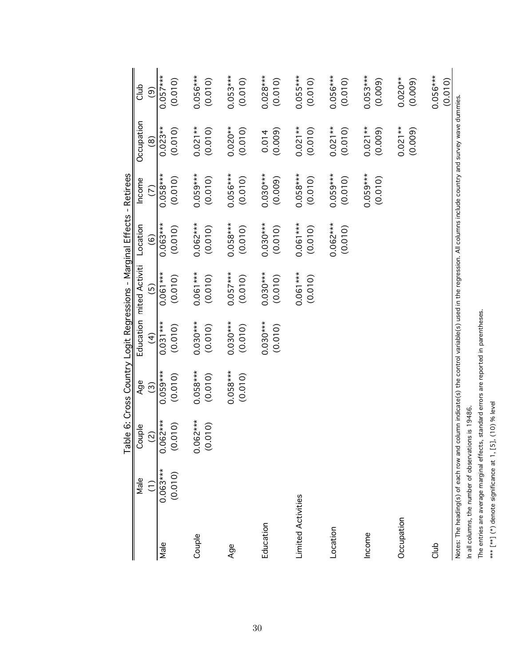|                    | Male                                                                                          | Couple                | Age                   |                       | Education mited Activiti | Location              | Income                | Occupation                                                                                                              | Club                  |
|--------------------|-----------------------------------------------------------------------------------------------|-----------------------|-----------------------|-----------------------|--------------------------|-----------------------|-----------------------|-------------------------------------------------------------------------------------------------------------------------|-----------------------|
|                    | Ξ                                                                                             | $\widetilde{S}$       | $\widehat{c}$         | $\widehat{f}$         | $\widetilde{5}$          | ල)                    | $\widehat{\in}$       | ම                                                                                                                       | ම                     |
| Male               | $0.063***$                                                                                    | $0.062***$            | $0.059***$            | $0.031***$            | $0.061***$               | $0.063***$            | $0.058***$            | $0.023**$                                                                                                               | $0.057***$            |
|                    | (0.010)                                                                                       | (0.010)               | (0.010)               | (0.010)               | (0.010)                  | (0.010)               | (0.010)               | (0.010)                                                                                                                 | (0.010)               |
| Couple             |                                                                                               | $0.062***$<br>(0.010) | $0.058***$<br>(0.010) | $0.030***$<br>(0.010) | $0.061***$<br>(0.010)    | $0.062***$<br>(0.010) | $0.059***$<br>(0.010) | $0.021**$<br>(0.010)                                                                                                    | $0.056***$<br>(0.010) |
| Age                |                                                                                               |                       | $0.058***$<br>(0.010) | $0.030***$<br>(0.010) | $0.057***$<br>(0.010)    | $0.058***$<br>(0.010) | $0.056***$<br>(0.010) | $0.020**$<br>(0.010)                                                                                                    | $0.053***$<br>(0.010) |
| Education          |                                                                                               |                       |                       | $0.030***$<br>(0.010) | $0.030***$<br>(0.010)    | $0.030***$<br>(0.010) | $0.030***$<br>(0.009) | (0.009)<br>0.014                                                                                                        | $0.028***$<br>(0.010) |
| Limited Activities |                                                                                               |                       |                       |                       | $0.061***$<br>(0.010)    | $0.061***$<br>(0.010) | $0.058***$<br>(0.010) | $0.021**$<br>(0.010)                                                                                                    | $0.055***$<br>(0.010) |
| Location           |                                                                                               |                       |                       |                       |                          | $0.062***$<br>(0.010) | $0.059***$<br>(0.010) | $0.021**$<br>(0.010)                                                                                                    | $0.056***$<br>(0.010) |
| Income             |                                                                                               |                       |                       |                       |                          |                       | $0.059***$<br>(0.010) | $0.021**$<br>(0.009)                                                                                                    | $0.053***$<br>(0.009) |
| Occupation         |                                                                                               |                       |                       |                       |                          |                       |                       | $0.021**$<br>(0.009)                                                                                                    | $0.020**$<br>(0.009)  |
| club               |                                                                                               |                       |                       |                       |                          |                       |                       |                                                                                                                         | $0.056***$<br>(0.010) |
|                    | In all columns, the number of observations is 19486.<br>Notes: The heading(s) of each row and |                       |                       |                       |                          |                       |                       | column indicate(s) the control variable(s) used in the regression. All columns include country and survey wave dummies. |                       |

The entries are average marginal effects, standard errors are reported in parentheses.

The entries are average marginal effects, standard errors are reported in parentheses.

 $\leftarrow^{\ast\ast\ast}$  [ $\leftarrow^{\ast\ast}$ ] (\*) denote significance at 1, [5], (10) % level

\*\*\* [\*\*] (\*) denote significance at 1, [5], (10) % level

Table 6: Cross Country Logit Regressions - Marginal Effects - Retirees Table 6: Cross Country Logit Regressions - Marginal Effects - Retirees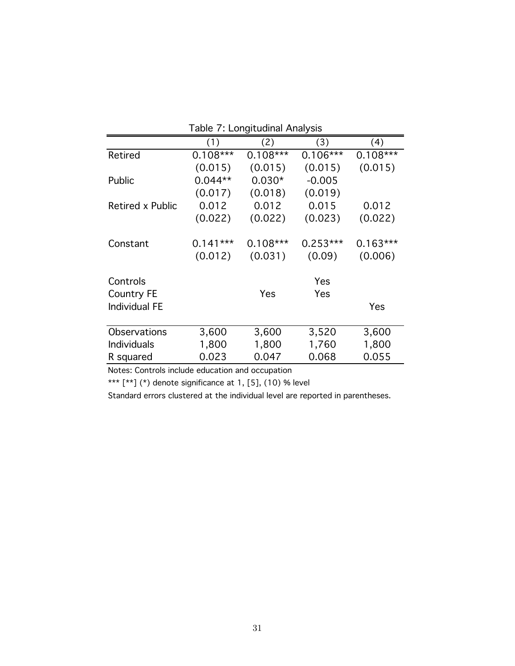|                                                       |                       | Table 7: Longitudinal Analysis |                      |                       |
|-------------------------------------------------------|-----------------------|--------------------------------|----------------------|-----------------------|
|                                                       | (1)                   | (2)                            | (3)                  | (4)                   |
| Retired                                               | $0.108***$            | $0.108***$                     | $0.106***$           | $0.108***$            |
|                                                       | (0.015)               | (0.015)                        | (0.015)              | (0.015)               |
| Public                                                | $0.044**$             | $0.030*$                       | $-0.005$             |                       |
|                                                       | (0.017)               | (0.018)                        | (0.019)              |                       |
| Retired x Public                                      | 0.012                 | 0.012                          | 0.015                | 0.012                 |
|                                                       | (0.022)               | (0.022)                        | (0.023)              | (0.022)               |
| Constant                                              | $0.141***$<br>(0.012) | $0.108***$<br>(0.031)          | $0.253***$<br>(0.09) | $0.163***$<br>(0.006) |
| Controls<br><b>Country FE</b><br><b>Individual FE</b> |                       | Yes                            | Yes<br>Yes           | Yes                   |
| Observations                                          | 3,600                 | 3,600                          | 3,520                | 3,600                 |
| <b>Individuals</b>                                    | 1,800                 | 1,800                          | 1,760                | 1,800                 |
| R squared                                             | 0.023                 | 0.047                          | 0.068                | 0.055                 |

## Table 7: Longitudinal Analysis

Notes: Controls include education and occupation

\*\*\*  $[$ \*\*] (\*) denote significance at 1, [5], (10) % level

Standard errors clustered at the individual level are reported in parentheses.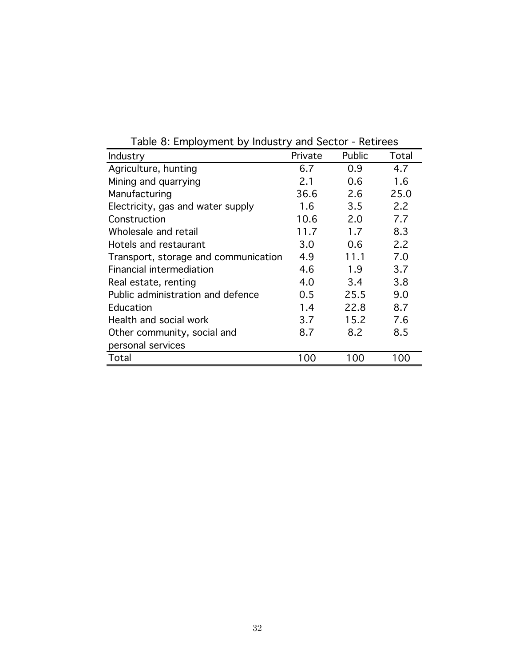| Industry                             | Private | Public | Total |
|--------------------------------------|---------|--------|-------|
| Agriculture, hunting                 | 6.7     | 0.9    | 4.7   |
| Mining and quarrying                 | 2.1     | 0.6    | 1.6   |
| Manufacturing                        | 36.6    | 2.6    | 25.0  |
| Electricity, gas and water supply    | 1.6     | 3.5    | 2.2   |
| Construction                         | 10.6    | 2.0    | 7.7   |
| Wholesale and retail                 | 11.7    | 1.7    | 8.3   |
| Hotels and restaurant                | 3.0     | 0.6    | 2.2   |
| Transport, storage and communication | 4.9     | 11.1   | 7.0   |
| <b>Financial intermediation</b>      | 4.6     | 1.9    | 3.7   |
| Real estate, renting                 | 4.0     | 3.4    | 3.8   |
| Public administration and defence    | 0.5     | 25.5   | 9.0   |
| Education                            | 1.4     | 22.8   | 8.7   |
| Health and social work               | 3.7     | 15.2   | 7.6   |
| Other community, social and          | 8.7     | 8.2    | 8.5   |
| personal services                    |         |        |       |
| Total                                | 100     | 100    | 100   |

Table 8: Employment by Industry and Sector - Retirees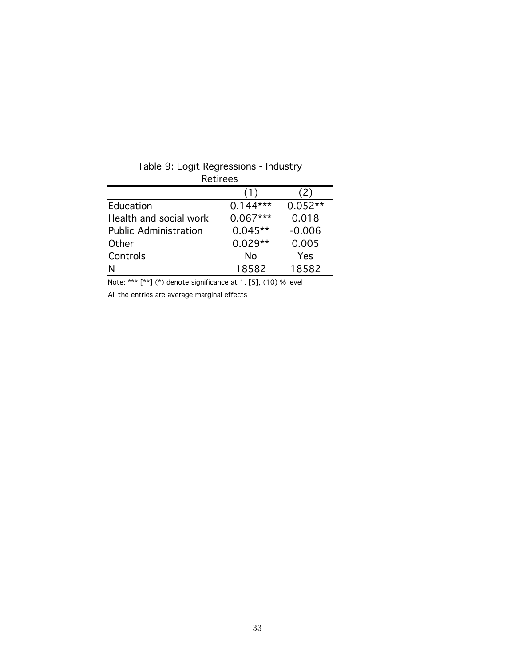| Retirees                     |            |                |
|------------------------------|------------|----------------|
|                              |            | $^{\prime}$ 2) |
| Education                    | $0.144***$ | $0.052**$      |
| Health and social work       | $0.067***$ | 0.018          |
| <b>Public Administration</b> | $0.045**$  | $-0.006$       |
| Other                        | $0.029**$  | 0.005          |
| Controls                     | No         | Yes            |
| N                            | 18582      | 18582          |

Table 9: Logit Regressions - Industry

Note: \*\*\* [\*\*] (\*) denote significance at 1, [5], (10) % level

All the entries are average marginal effects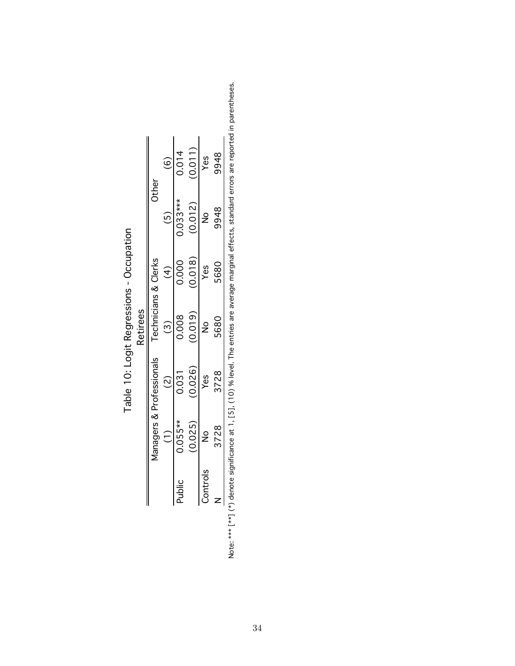|          |           |                          | <b>Retirees</b> |                     |               |                                                                                                                                                                                                                             |
|----------|-----------|--------------------------|-----------------|---------------------|---------------|-----------------------------------------------------------------------------------------------------------------------------------------------------------------------------------------------------------------------------|
|          |           | Managers & Professionals |                 | echnicians & Clerks | Other         |                                                                                                                                                                                                                             |
|          |           |                          |                 | ₹                   |               |                                                                                                                                                                                                                             |
| Public   | $0.055**$ | 0.031                    | 0.008           | 0.000               | $0.033***$    | 0.014                                                                                                                                                                                                                       |
|          | (0.025)   | (0.026)                  | (0.019)         | (0.018)             | (0.012)       | (0.011)                                                                                                                                                                                                                     |
| Controls |           | Yes                      | $\frac{1}{2}$   | Yes                 | $\frac{8}{1}$ | Yes                                                                                                                                                                                                                         |
|          | 3728      | 3728                     | 5680            | 5680                | 9948          | 9948                                                                                                                                                                                                                        |
|          |           |                          |                 |                     |               | contrast states of the contrast of the contrast of the contrast of the lines of the lines of the contrast of the contrast of the lines of the lines of the lines of the lines of the lines of the lines of the lines of the |

Table 10: Logit Regressions - Occupation Table 10: Logit Regressions - Occupation

Note: \*\*\* [\*\*] (\*) denote significance at 1, [5], (10) % level. The entries are average marginal effects, standard errors are reported in parentheses. Note: \*\*\* [\*\*] (\*) denote significance at 1, [5], (10) % level. The entries are average marginal effects, standard errors are reported in parentheses.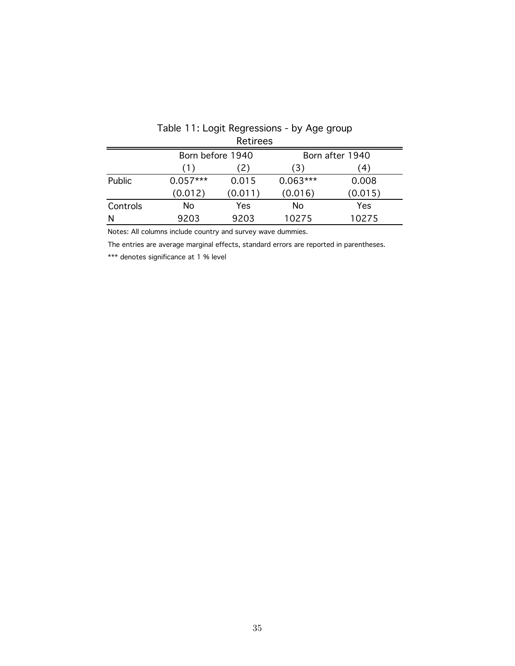|          |                  | <b>Retirees</b> |            |                 |
|----------|------------------|-----------------|------------|-----------------|
|          | Born before 1940 |                 |            | Born after 1940 |
|          | (1)              | (2)             | (3)        | (4)             |
| Public   | $0.057***$       | 0.015           | $0.063***$ | 0.008           |
|          | (0.012)          | (0.011)         | (0.016)    | (0.015)         |
| Controls | No               | Yes             | No         | Yes             |
| N        | 9203             | 9203            | 10275      | 10275           |

# Table 11: Logit Regressions - by Age group

Notes: All columns include country and survey wave dummies.

The entries are average marginal effects, standard errors are reported in parentheses.

\*\*\* denotes significance at 1 % level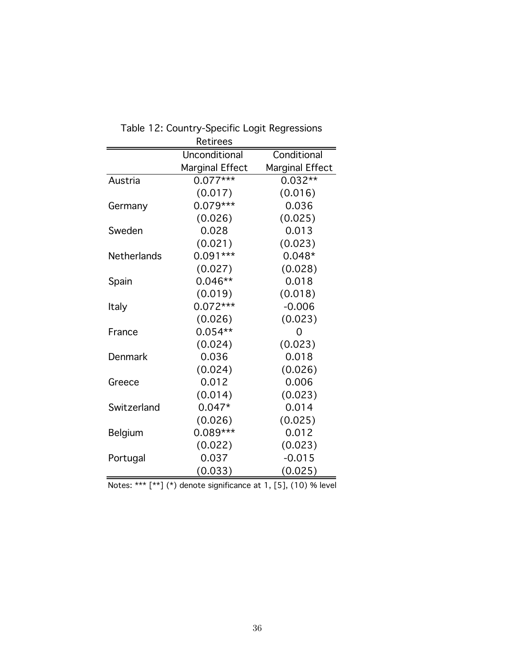|                    | <b>Retirees</b>        |                 |
|--------------------|------------------------|-----------------|
|                    | Unconditional          | Conditional     |
|                    | <b>Marginal Effect</b> | Marginal Effect |
| Austria            | $0.077***$             | $0.032**$       |
|                    | (0.017)                | (0.016)         |
| Germany            | $0.079***$             | 0.036           |
|                    | (0.026)                | (0.025)         |
| Sweden             | 0.028                  | 0.013           |
|                    | (0.021)                | (0.023)         |
| <b>Netherlands</b> | $0.091***$             | $0.048*$        |
|                    | (0.027)                | (0.028)         |
| Spain              | $0.046**$              | 0.018           |
|                    | (0.019)                | (0.018)         |
| Italy              | $0.072***$             | $-0.006$        |
|                    | (0.026)                | (0.023)         |
| France             | $0.054**$              | O               |
|                    | (0.024)                | (0.023)         |
| Denmark            | 0.036                  | 0.018           |
|                    | (0.024)                | (0.026)         |
| Greece             | 0.012                  | 0.006           |
|                    | (0.014)                | (0.023)         |
| Switzerland        | $0.047*$               | 0.014           |
|                    | (0.026)                | (0.025)         |
| Belgium            | $0.089***$             | 0.012           |
|                    | (0.022)                | (0.023)         |
| Portugal           | 0.037                  | $-0.015$        |
|                    | (0.033)                | (0.025)         |

| Table 12: Country-Specific Logit Regressions |
|----------------------------------------------|
| Retirees                                     |

Notes: \*\*\* [\*\*] (\*) denote significance at 1, [5], (10) % level